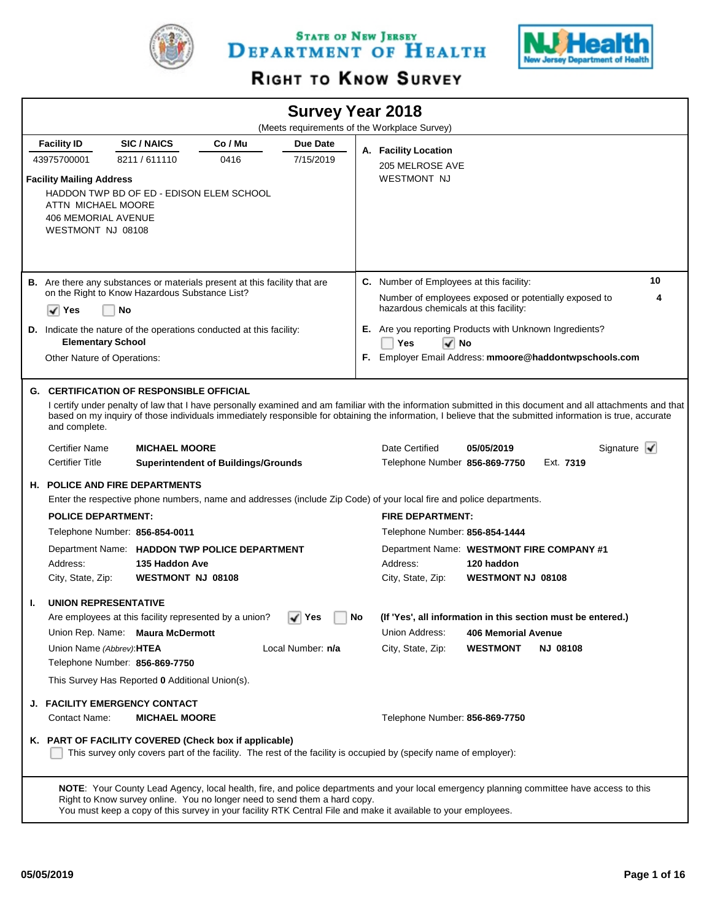

STATE OF NEW JERSEY DEPARTMENT OF HEALTH



# RIGHT TO KNOW SURVEY

|                                                                                                          |                                                                             |                                            |                   |    | <b>Survey Year 2018</b>                                                                                                                                                                                                                                                                                                   |                 |                              |
|----------------------------------------------------------------------------------------------------------|-----------------------------------------------------------------------------|--------------------------------------------|-------------------|----|---------------------------------------------------------------------------------------------------------------------------------------------------------------------------------------------------------------------------------------------------------------------------------------------------------------------------|-----------------|------------------------------|
|                                                                                                          |                                                                             |                                            |                   |    | (Meets requirements of the Workplace Survey)                                                                                                                                                                                                                                                                              |                 |                              |
| <b>Facility ID</b>                                                                                       | <b>SIC/NAICS</b>                                                            | Co / Mu                                    | Due Date          |    | A. Facility Location                                                                                                                                                                                                                                                                                                      |                 |                              |
| 43975700001                                                                                              | 8211/611110                                                                 | 0416                                       | 7/15/2019         |    | 205 MELROSE AVE                                                                                                                                                                                                                                                                                                           |                 |                              |
| <b>Facility Mailing Address</b><br>ATTN MICHAEL MOORE<br><b>406 MEMORIAL AVENUE</b><br>WESTMONT NJ 08108 | HADDON TWP BD OF ED - EDISON ELEM SCHOOL                                    |                                            |                   |    | <b>WESTMONT NJ</b>                                                                                                                                                                                                                                                                                                        |                 |                              |
|                                                                                                          | B. Are there any substances or materials present at this facility that are  |                                            |                   |    | C. Number of Employees at this facility:                                                                                                                                                                                                                                                                                  |                 | 10                           |
|                                                                                                          | on the Right to Know Hazardous Substance List?                              |                                            |                   |    | Number of employees exposed or potentially exposed to                                                                                                                                                                                                                                                                     |                 | 4                            |
| ✓<br>Yes                                                                                                 | No                                                                          |                                            |                   |    | hazardous chemicals at this facility:                                                                                                                                                                                                                                                                                     |                 |                              |
|                                                                                                          | <b>D.</b> Indicate the nature of the operations conducted at this facility: |                                            |                   |    | E. Are you reporting Products with Unknown Ingredients?                                                                                                                                                                                                                                                                   |                 |                              |
| <b>Elementary School</b>                                                                                 |                                                                             |                                            |                   |    | Yes<br>l√∣No                                                                                                                                                                                                                                                                                                              |                 |                              |
| Other Nature of Operations:                                                                              |                                                                             |                                            |                   |    | F. Employer Email Address: mmoore@haddontwpschools.com                                                                                                                                                                                                                                                                    |                 |                              |
| and complete.                                                                                            | <b>G. CERTIFICATION OF RESPONSIBLE OFFICIAL</b>                             |                                            |                   |    | I certify under penalty of law that I have personally examined and am familiar with the information submitted in this document and all attachments and that<br>based on my inquiry of those individuals immediately responsible for obtaining the information, I believe that the submitted information is true, accurate |                 |                              |
| <b>Certifier Name</b>                                                                                    | <b>MICHAEL MOORE</b>                                                        |                                            |                   |    | Date Certified<br>05/05/2019                                                                                                                                                                                                                                                                                              |                 | Signature $\mathbf{\sqrt{}}$ |
| <b>Certifier Title</b>                                                                                   |                                                                             | <b>Superintendent of Buildings/Grounds</b> |                   |    | Telephone Number 856-869-7750                                                                                                                                                                                                                                                                                             | Ext. 7319       |                              |
|                                                                                                          | <b>H. POLICE AND FIRE DEPARTMENTS</b>                                       |                                            |                   |    |                                                                                                                                                                                                                                                                                                                           |                 |                              |
|                                                                                                          |                                                                             |                                            |                   |    | Enter the respective phone numbers, name and addresses (include Zip Code) of your local fire and police departments.                                                                                                                                                                                                      |                 |                              |
| <b>POLICE DEPARTMENT:</b>                                                                                |                                                                             |                                            |                   |    | <b>FIRE DEPARTMENT:</b>                                                                                                                                                                                                                                                                                                   |                 |                              |
|                                                                                                          | Telephone Number: 856-854-0011                                              |                                            |                   |    | Telephone Number: 856-854-1444                                                                                                                                                                                                                                                                                            |                 |                              |
|                                                                                                          | Department Name: HADDON TWP POLICE DEPARTMENT                               |                                            |                   |    | Department Name: WESTMONT FIRE COMPANY #1                                                                                                                                                                                                                                                                                 |                 |                              |
| Address:                                                                                                 | 135 Haddon Ave                                                              |                                            |                   |    | Address:<br>120 haddon                                                                                                                                                                                                                                                                                                    |                 |                              |
| City, State, Zip:                                                                                        | WESTMONT NJ 08108                                                           |                                            |                   |    | <b>WESTMONT NJ 08108</b><br>City, State, Zip:                                                                                                                                                                                                                                                                             |                 |                              |
| <b>UNION REPRESENTATIVE</b><br>Т.                                                                        |                                                                             |                                            |                   |    |                                                                                                                                                                                                                                                                                                                           |                 |                              |
|                                                                                                          | Are employees at this facility represented by a union?                      |                                            | ∣ Yes             | No | (If 'Yes', all information in this section must be entered.)                                                                                                                                                                                                                                                              |                 |                              |
|                                                                                                          | Union Rep. Name: Maura McDermott                                            |                                            |                   |    | Union Address:<br><b>406 Memorial Avenue</b>                                                                                                                                                                                                                                                                              |                 |                              |
| Union Name (Abbrev): HTEA                                                                                | Telephone Number: 856-869-7750                                              |                                            | Local Number: n/a |    | City, State, Zip:<br><b>WESTMONT</b>                                                                                                                                                                                                                                                                                      | <b>NJ 08108</b> |                              |
|                                                                                                          | This Survey Has Reported 0 Additional Union(s).                             |                                            |                   |    |                                                                                                                                                                                                                                                                                                                           |                 |                              |
|                                                                                                          | <b>J. FACILITY EMERGENCY CONTACT</b>                                        |                                            |                   |    |                                                                                                                                                                                                                                                                                                                           |                 |                              |
| Contact Name:                                                                                            | <b>MICHAEL MOORE</b>                                                        |                                            |                   |    | Telephone Number: 856-869-7750                                                                                                                                                                                                                                                                                            |                 |                              |
|                                                                                                          | K. PART OF FACILITY COVERED (Check box if applicable)                       |                                            |                   |    | This survey only covers part of the facility. The rest of the facility is occupied by (specify name of employer):                                                                                                                                                                                                         |                 |                              |
|                                                                                                          | Right to Know survey online. You no longer need to send them a hard copy.   |                                            |                   |    | NOTE: Your County Lead Agency, local health, fire, and police departments and your local emergency planning committee have access to this<br>You must keep a copy of this survey in your facility RTK Central File and make it available to your employees.                                                               |                 |                              |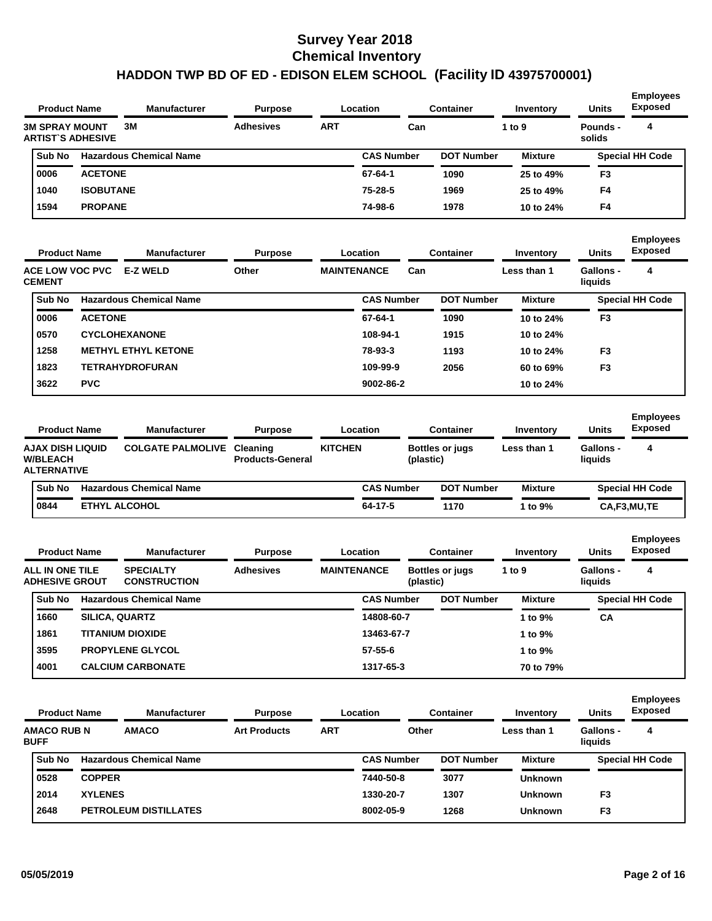| <b>Product Name</b>                               | <b>Manufacturer</b>            | <b>Purpose</b>   |            | <b>Location</b>   | <b>Container</b>  | Inventory      | <b>Units</b>       | <b>Employees</b><br><b>Exposed</b> |
|---------------------------------------------------|--------------------------------|------------------|------------|-------------------|-------------------|----------------|--------------------|------------------------------------|
| <b>3M SPRAY MOUNT</b><br><b>ARTIST'S ADHESIVE</b> | 3M                             | <b>Adhesives</b> | <b>ART</b> | Can               |                   | 1 to $9$       | Pounds -<br>solids | 4                                  |
| Sub No                                            | <b>Hazardous Chemical Name</b> |                  |            | <b>CAS Number</b> | <b>DOT Number</b> | <b>Mixture</b> |                    | <b>Special HH Code</b>             |
| 0006                                              | <b>ACETONE</b>                 |                  |            | 67-64-1           | 1090              | 25 to 49%      | F <sub>3</sub>     |                                    |
| 1040                                              | <b>ISOBUTANE</b>               |                  |            | 75-28-5           | 1969              | 25 to 49%      | F <sub>4</sub>     |                                    |
| 1594                                              | <b>PROPANE</b>                 |                  |            | 74-98-6           | 1978              | 10 to 24%      | F4                 |                                    |

|               | <b>Product Name</b><br><b>ACE LOW VOC PVC</b> | <b>Manufacturer</b>            | <b>Purpose</b> |                    | Location          |     | <b>Container</b>  | Inventory      | <b>Units</b>         | <b>Employees</b><br><b>Exposed</b> |
|---------------|-----------------------------------------------|--------------------------------|----------------|--------------------|-------------------|-----|-------------------|----------------|----------------------|------------------------------------|
| <b>CEMENT</b> |                                               | <b>E-Z WELD</b>                | Other          | <b>MAINTENANCE</b> |                   | Can |                   | Less than 1    | Gallons -<br>liquids | 4                                  |
| Sub No        |                                               | <b>Hazardous Chemical Name</b> |                |                    | <b>CAS Number</b> |     | <b>DOT Number</b> | <b>Mixture</b> |                      | <b>Special HH Code</b>             |
| 0006          | <b>ACETONE</b>                                |                                |                |                    | 67-64-1           |     | 1090              | 10 to 24%      | F <sub>3</sub>       |                                    |
| 0570          |                                               | <b>CYCLOHEXANONE</b>           |                |                    | 108-94-1          |     | 1915              | 10 to 24%      |                      |                                    |
| 1258          |                                               | <b>METHYL ETHYL KETONE</b>     |                |                    | 78-93-3           |     | 1193              | 10 to 24%      | F <sub>3</sub>       |                                    |
| 1823          |                                               | <b>TETRAHYDROFURAN</b>         |                |                    | 109-99-9          |     | 2056              | 60 to 69%      | F <sub>3</sub>       |                                    |
| 3622          | <b>PVC</b>                                    |                                |                |                    | 9002-86-2         |     |                   | 10 to 24%      |                      |                                    |

| <b>Product Name</b>                                       | <b>Manufacturer</b>               | <b>Purpose</b>          | Location       |                   | Container              | Inventory      | <b>Units</b>                | <b>Employees</b><br><b>Exposed</b> |
|-----------------------------------------------------------|-----------------------------------|-------------------------|----------------|-------------------|------------------------|----------------|-----------------------------|------------------------------------|
| AJAX DISH LIQUID<br><b>W/BLEACH</b><br><b>ALTERNATIVE</b> | <b>COLGATE PALMOLIVE Cleaning</b> | <b>Products-General</b> | <b>KITCHEN</b> | (plastic)         | <b>Bottles or jugs</b> | Less than 1    | <b>Gallons -</b><br>liquids | 4                                  |
| Sub No                                                    | <b>Hazardous Chemical Name</b>    |                         |                | <b>CAS Number</b> | <b>DOT Number</b>      | <b>Mixture</b> |                             | <b>Special HH Code</b>             |
| 0844                                                      | <b>ETHYL ALCOHOL</b>              |                         |                | 64-17-5           | 1170                   | 1 to $9\%$     |                             | CA,F3,MU,TE                        |

| <b>Product Name</b>                      | <b>Manufacturer</b>                     | <b>Purpose</b>   | Location           |           | <b>Container</b>       | Inventory      | <b>Units</b>                | <b>Employees</b><br><b>Exposed</b> |
|------------------------------------------|-----------------------------------------|------------------|--------------------|-----------|------------------------|----------------|-----------------------------|------------------------------------|
| ALL IN ONE TILE<br><b>ADHESIVE GROUT</b> | <b>SPECIALTY</b><br><b>CONSTRUCTION</b> | <b>Adhesives</b> | <b>MAINTENANCE</b> | (plastic) | <b>Bottles or jugs</b> | 1 to $9$       | <b>Gallons -</b><br>liquids | 4                                  |
| Sub No                                   | <b>Hazardous Chemical Name</b>          |                  | <b>CAS Number</b>  |           | <b>DOT Number</b>      | <b>Mixture</b> |                             | <b>Special HH Code</b>             |
| 1660                                     | <b>SILICA, QUARTZ</b>                   |                  | 14808-60-7         |           |                        | 1 to $9\%$     | СA                          |                                    |
| 1861                                     | <b>TITANIUM DIOXIDE</b>                 |                  | 13463-67-7         |           |                        | 1 to $9\%$     |                             |                                    |
| 3595                                     | <b>PROPYLENE GLYCOL</b>                 |                  | $57 - 55 - 6$      |           |                        | 1 to $9\%$     |                             |                                    |
| 4001                                     | <b>CALCIUM CARBONATE</b>                |                  | 1317-65-3          |           |                        | 70 to 79%      |                             |                                    |

| <b>Product Name</b>               |                | <b>Manufacturer</b>            | <b>Purpose</b>      |            | Location          | <b>Container</b>  | Inventory      | <b>Units</b>                | <b>Employees</b><br><b>Exposed</b> |
|-----------------------------------|----------------|--------------------------------|---------------------|------------|-------------------|-------------------|----------------|-----------------------------|------------------------------------|
| <b>AMACO RUB N</b><br><b>BUFF</b> |                | <b>AMACO</b>                   | <b>Art Products</b> | <b>ART</b> | Other             |                   | Less than 1    | <b>Gallons -</b><br>liauids | 4                                  |
| <b>Sub No</b>                     |                | <b>Hazardous Chemical Name</b> |                     |            | <b>CAS Number</b> | <b>DOT Number</b> | <b>Mixture</b> |                             | <b>Special HH Code</b>             |
| 0528                              | <b>COPPER</b>  |                                |                     |            | 7440-50-8         | 3077              | <b>Unknown</b> |                             |                                    |
| 2014                              | <b>XYLENES</b> |                                |                     |            | 1330-20-7         | 1307              | <b>Unknown</b> | F <sub>3</sub>              |                                    |
| 2648                              |                | <b>PETROLEUM DISTILLATES</b>   |                     |            | 8002-05-9         | 1268              | <b>Unknown</b> | F <sub>3</sub>              |                                    |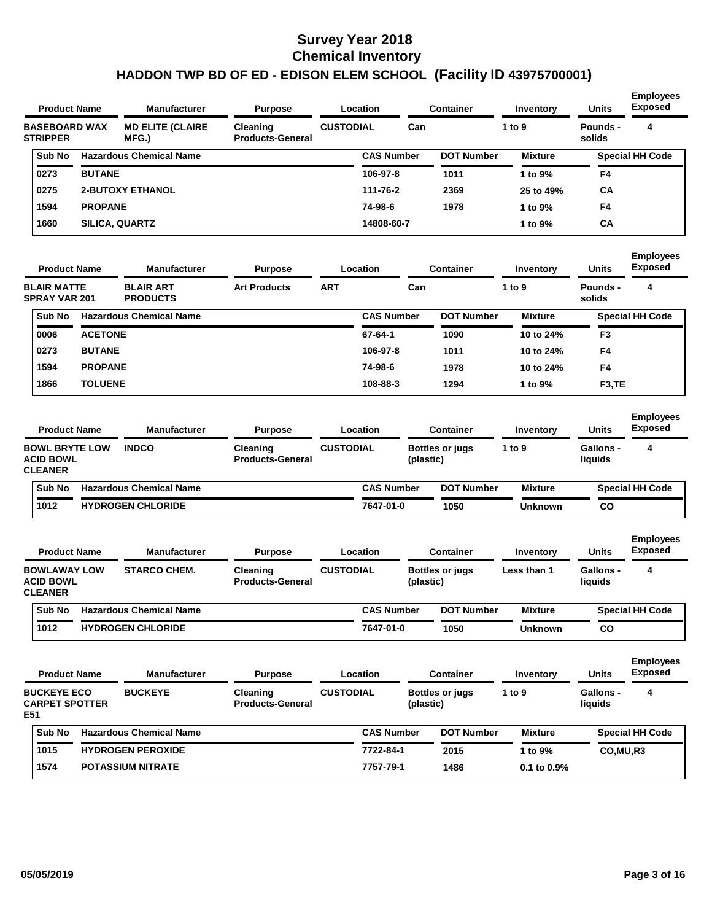| <b>Product Name</b>                     |                | <b>Manufacturer</b>              | <b>Purpose</b>                             |                  | Location          | <b>Container</b>  | Inventory      | <b>Units</b>       | <b>Employees</b><br><b>Exposed</b> |
|-----------------------------------------|----------------|----------------------------------|--------------------------------------------|------------------|-------------------|-------------------|----------------|--------------------|------------------------------------|
| <b>BASEBOARD WAX</b><br><b>STRIPPER</b> |                | <b>MD ELITE (CLAIRE</b><br>MFG.) | <b>Cleaning</b><br><b>Products-General</b> | <b>CUSTODIAL</b> | Can               |                   | 1 to $9$       | Pounds -<br>solids | 4                                  |
| Sub No                                  |                | <b>Hazardous Chemical Name</b>   |                                            |                  | <b>CAS Number</b> | <b>DOT Number</b> | <b>Mixture</b> |                    | <b>Special HH Code</b>             |
| 0273                                    | <b>BUTANE</b>  |                                  |                                            |                  | 106-97-8          | 1011              | 1 to $9\%$     | F4                 |                                    |
| 0275                                    |                | <b>2-BUTOXY ETHANOL</b>          |                                            |                  | 111-76-2          | 2369              | 25 to 49%      | <b>CA</b>          |                                    |
| 1594                                    | <b>PROPANE</b> |                                  |                                            |                  | 74-98-6           | 1978              | 1 to $9\%$     | F <sub>4</sub>     |                                    |
| 1660                                    |                | <b>SILICA, QUARTZ</b>            |                                            |                  | 14808-60-7        |                   | 1 to $9\%$     | <b>CA</b>          |                                    |

| <b>Product Name</b>                        |                | <b>Manufacturer</b>                 | <b>Purpose</b>      |            | <b>Location</b>   | <b>Container</b>  | Inventory      | <b>Units</b>        | <b>Employees</b><br><b>Exposed</b> |
|--------------------------------------------|----------------|-------------------------------------|---------------------|------------|-------------------|-------------------|----------------|---------------------|------------------------------------|
| <b>BLAIR MATTE</b><br><b>SPRAY VAR 201</b> |                | <b>BLAIR ART</b><br><b>PRODUCTS</b> | <b>Art Products</b> | <b>ART</b> | Can               |                   | 1 to 9         | Pounds -<br>solids  | 4                                  |
| Sub No                                     |                | <b>Hazardous Chemical Name</b>      |                     |            | <b>CAS Number</b> | <b>DOT Number</b> | <b>Mixture</b> |                     | <b>Special HH Code</b>             |
| 0006                                       | <b>ACETONE</b> |                                     |                     |            | 67-64-1           | 1090              | 10 to 24%      | F <sub>3</sub>      |                                    |
| 0273                                       | <b>BUTANE</b>  |                                     |                     |            | 106-97-8          | 1011              | 10 to 24%      | F4                  |                                    |
| 1594                                       | <b>PROPANE</b> |                                     |                     |            | 74-98-6           | 1978              | 10 to 24%      | F4                  |                                    |
| 1866                                       | <b>TOLUENE</b> |                                     |                     |            | 108-88-3          | 1294              | 1 to 9%        | F <sub>3</sub> , TE |                                    |
|                                            |                |                                     |                     |            |                   |                   |                |                     |                                    |

| <b>Product Name</b>                                         | <b>Manufacturer</b>            | <b>Purpose</b>                             |                  | Location          | Container                           | Inventory      | <b>Units</b>                | <b>Employees</b><br><b>Exposed</b> |
|-------------------------------------------------------------|--------------------------------|--------------------------------------------|------------------|-------------------|-------------------------------------|----------------|-----------------------------|------------------------------------|
| <b>BOWL BRYTE LOW</b><br><b>ACID BOWL</b><br><b>CLEANER</b> | <b>INDCO</b>                   | <b>Cleaning</b><br><b>Products-General</b> | <b>CUSTODIAL</b> |                   | <b>Bottles or jugs</b><br>(plastic) | 1 to 9         | <b>Gallons -</b><br>liquids | 4                                  |
| <b>Sub No</b>                                               | <b>Hazardous Chemical Name</b> |                                            |                  | <b>CAS Number</b> | <b>DOT Number</b>                   | <b>Mixture</b> |                             | <b>Special HH Code</b>             |
| 1012                                                        | <b>HYDROGEN CHLORIDE</b>       |                                            |                  | 7647-01-0         | 1050                                | <b>Unknown</b> | CO                          |                                    |

| <b>Product Name</b>                                       | <b>Manufacturer</b>            | <b>Purpose</b>                      |                  | Location          |           | <b>Container</b>       | Inventory      | <b>Units</b>         | <b>Employees</b><br><b>Exposed</b> |
|-----------------------------------------------------------|--------------------------------|-------------------------------------|------------------|-------------------|-----------|------------------------|----------------|----------------------|------------------------------------|
| <b>BOWLAWAY LOW</b><br><b>ACID BOWL</b><br><b>CLEANER</b> | <b>STARCO CHEM.</b>            | Cleaning<br><b>Products-General</b> | <b>CUSTODIAL</b> |                   | (plastic) | <b>Bottles or jugs</b> | Less than 1    | Gallons -<br>liauids | 4                                  |
| Sub No                                                    | <b>Hazardous Chemical Name</b> |                                     |                  | <b>CAS Number</b> |           | <b>DOT Number</b>      | <b>Mixture</b> |                      | <b>Special HH Code</b>             |
| 1012                                                      | <b>HYDROGEN CHLORIDE</b>       |                                     |                  | 7647-01-0         |           | 1050                   | <b>Unknown</b> | CO                   |                                    |

|     | <b>Product Name</b>                         | <b>Manufacturer</b>            | <b>Purpose</b>                             |                  | Location          |           | <b>Container</b>       | Inventory        | <b>Units</b>                | <b>Employees</b><br><b>Exposed</b> |
|-----|---------------------------------------------|--------------------------------|--------------------------------------------|------------------|-------------------|-----------|------------------------|------------------|-----------------------------|------------------------------------|
| E51 | <b>BUCKEYE ECO</b><br><b>CARPET SPOTTER</b> | <b>BUCKEYE</b>                 | <b>Cleaning</b><br><b>Products-General</b> | <b>CUSTODIAL</b> |                   | (plastic) | <b>Bottles or jugs</b> | 1 to $9$         | <b>Gallons -</b><br>liquids | 4                                  |
|     | Sub No                                      | <b>Hazardous Chemical Name</b> |                                            |                  | <b>CAS Number</b> |           | <b>DOT Number</b>      | <b>Mixture</b>   |                             | <b>Special HH Code</b>             |
|     | 1015                                        | <b>HYDROGEN PEROXIDE</b>       |                                            |                  | 7722-84-1         |           | 2015                   | 1 to $9\%$       | CO, MU, R3                  |                                    |
|     | 1574                                        | <b>POTASSIUM NITRATE</b>       |                                            |                  | 7757-79-1         |           | 1486                   | $0.1$ to $0.9\%$ |                             |                                    |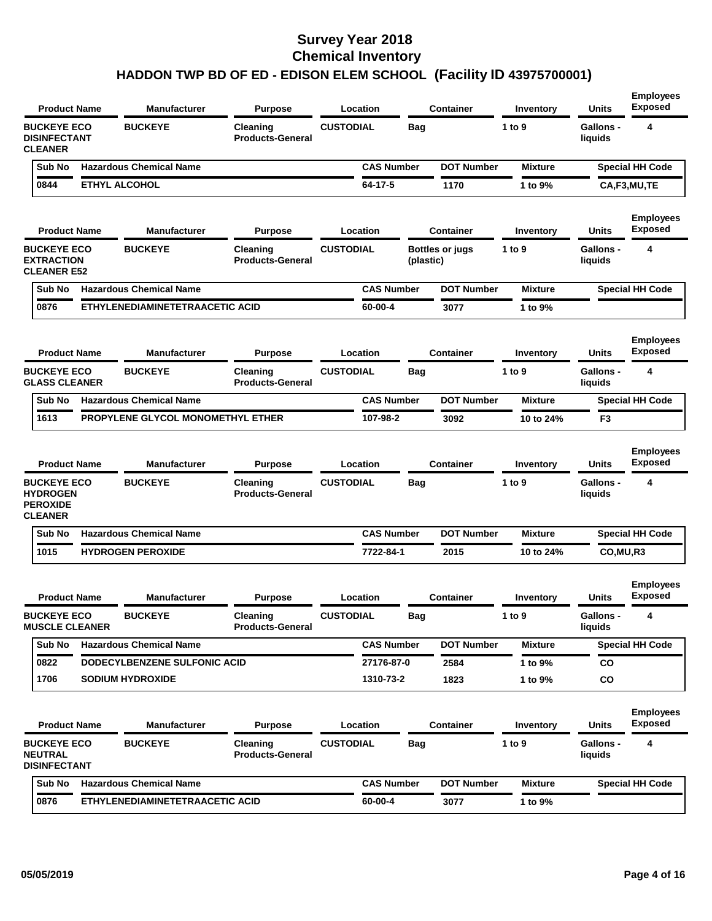| <b>Product Name</b>                                                        | <b>Manufacturer</b>               | <b>Purpose</b>                      | Location          |            | <b>Container</b>       | Inventory      | <b>Units</b>                | <b>Employees</b><br><b>Exposed</b> |
|----------------------------------------------------------------------------|-----------------------------------|-------------------------------------|-------------------|------------|------------------------|----------------|-----------------------------|------------------------------------|
| <b>BUCKEYE ECO</b><br><b>DISINFECTANT</b><br><b>CLEANER</b>                | <b>BUCKEYE</b>                    | Cleaning<br><b>Products-General</b> | <b>CUSTODIAL</b>  | <b>Bag</b> |                        | 1 to 9         | <b>Gallons -</b><br>liquids | 4                                  |
| Sub No                                                                     | <b>Hazardous Chemical Name</b>    |                                     | <b>CAS Number</b> |            | <b>DOT Number</b>      | <b>Mixture</b> |                             | <b>Special HH Code</b>             |
| 0844                                                                       | <b>ETHYL ALCOHOL</b>              |                                     | 64-17-5           |            | 1170                   | 1 to 9%        |                             | CA,F3,MU,TE                        |
| <b>Product Name</b>                                                        | <b>Manufacturer</b>               | <b>Purpose</b>                      | Location          |            | <b>Container</b>       | Inventory      | Units                       | <b>Employees</b><br><b>Exposed</b> |
| <b>BUCKEYE ECO</b><br><b>EXTRACTION</b><br><b>CLEANER E52</b>              | <b>BUCKEYE</b>                    | Cleaning<br><b>Products-General</b> | <b>CUSTODIAL</b>  | (plastic)  | <b>Bottles or jugs</b> | 1 to 9         | <b>Gallons -</b><br>liquids | 4                                  |
| Sub No                                                                     | <b>Hazardous Chemical Name</b>    |                                     | <b>CAS Number</b> |            | <b>DOT Number</b>      | <b>Mixture</b> |                             | <b>Special HH Code</b>             |
| 0876                                                                       | ETHYLENEDIAMINETETRAACETIC ACID   |                                     | 60-00-4           |            | 3077                   | 1 to 9%        |                             |                                    |
| <b>Product Name</b>                                                        | <b>Manufacturer</b>               | <b>Purpose</b>                      | Location          |            | <b>Container</b>       | Inventory      | <b>Units</b>                | <b>Employees</b><br><b>Exposed</b> |
| <b>BUCKEYE ECO</b><br><b>GLASS CLEANER</b>                                 | <b>BUCKEYE</b>                    | Cleaning<br><b>Products-General</b> | <b>CUSTODIAL</b>  | <b>Bag</b> |                        | 1 to 9         | <b>Gallons -</b><br>liquids | 4                                  |
| Sub No                                                                     | <b>Hazardous Chemical Name</b>    |                                     | <b>CAS Number</b> |            | <b>DOT Number</b>      | <b>Mixture</b> |                             | <b>Special HH Code</b>             |
| 1613                                                                       | PROPYLENE GLYCOL MONOMETHYL ETHER |                                     | 107-98-2          |            | 3092                   | 10 to 24%      | F <sub>3</sub>              |                                    |
| <b>Product Name</b>                                                        | <b>Manufacturer</b>               | <b>Purpose</b>                      | Location          |            | <b>Container</b>       | Inventory      | <b>Units</b>                | <b>Employees</b><br><b>Exposed</b> |
| <b>BUCKEYE ECO</b><br><b>HYDROGEN</b><br><b>PEROXIDE</b><br><b>CLEANER</b> | <b>BUCKEYE</b>                    | Cleaning<br><b>Products-General</b> | <b>CUSTODIAL</b>  | <b>Bag</b> |                        | 1 to 9         | <b>Gallons -</b><br>liquids | 4                                  |
| Sub No                                                                     | <b>Hazardous Chemical Name</b>    |                                     | <b>CAS Number</b> |            | <b>DOT Number</b>      | <b>Mixture</b> |                             | <b>Special HH Code</b>             |
| 1015                                                                       | <b>HYDROGEN PEROXIDE</b>          |                                     | 7722-84-1         |            | 2015                   | 10 to 24%      | CO,MU,R3                    |                                    |
| <b>Product Name</b>                                                        | <b>Manufacturer</b>               | <b>Purpose</b>                      | Location          |            | Container              | Inventory      | Units                       | <b>Employees</b><br><b>Exposed</b> |
| <b>BUCKEYE ECO</b><br><b>MUSCLE CLEANER</b>                                | <b>BUCKEYE</b>                    | Cleaning<br><b>Products-General</b> | <b>CUSTODIAL</b>  | вag        |                        | 1 to 9         | Gallons -<br>liquids        |                                    |
| Sub No                                                                     | <b>Hazardous Chemical Name</b>    |                                     | <b>CAS Number</b> |            | <b>DOT Number</b>      | <b>Mixture</b> |                             | <b>Special HH Code</b>             |
| 0822                                                                       | DODECYLBENZENE SULFONIC ACID      |                                     | 27176-87-0        |            | 2584                   | 1 to 9%        | CO                          |                                    |
| 1706                                                                       | <b>SODIUM HYDROXIDE</b>           |                                     | 1310-73-2         |            | 1823                   | 1 to 9%        | co                          |                                    |
| <b>Product Name</b>                                                        | <b>Manufacturer</b>               | <b>Purpose</b>                      | <b>Location</b>   |            | <b>Container</b>       | Inventory      | <b>Units</b>                | <b>Employees</b><br><b>Exposed</b> |
| <b>BUCKEYE ECO</b><br><b>NEUTRAL</b><br><b>DISINFECTANT</b>                | <b>BUCKEYE</b>                    | Cleaning<br><b>Products-General</b> | <b>CUSTODIAL</b>  | <b>Bag</b> |                        | 1 to $9$       | <b>Gallons -</b><br>liquids | 4                                  |
| Sub No                                                                     | <b>Hazardous Chemical Name</b>    |                                     | <b>CAS Number</b> |            | <b>DOT Number</b>      | <b>Mixture</b> |                             | Special HH Code                    |
|                                                                            |                                   |                                     |                   |            |                        |                |                             |                                    |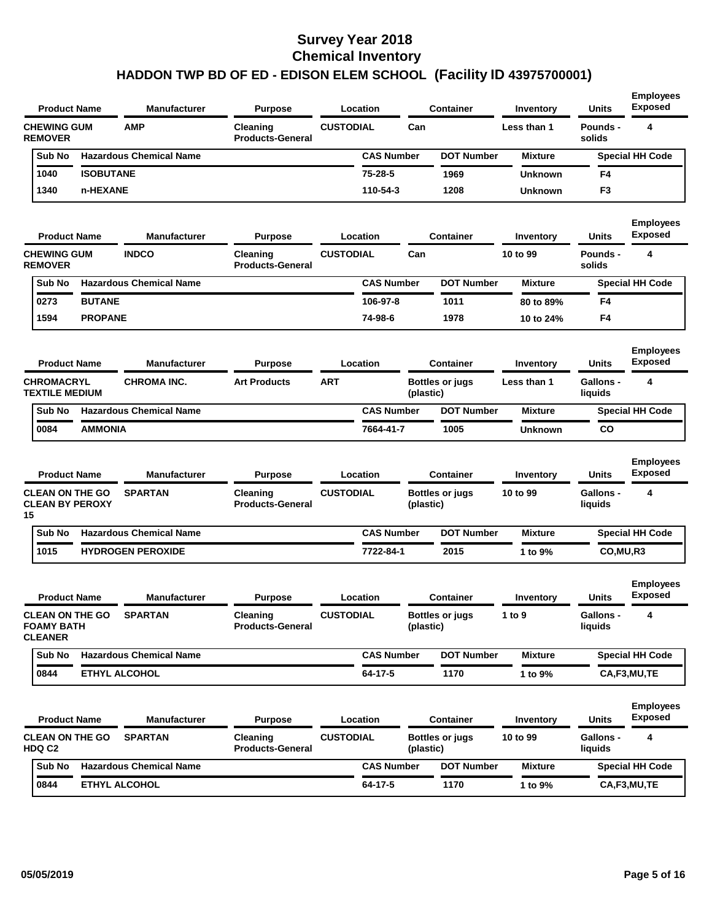| <b>Product Name</b>                                           |                  | Manufacturer                   | <b>Purpose</b>                      | Location                     |           | <b>Container</b>                           | Inventory             | <b>Units</b>              | <b>Employees</b><br><b>Exposed</b>      |
|---------------------------------------------------------------|------------------|--------------------------------|-------------------------------------|------------------------------|-----------|--------------------------------------------|-----------------------|---------------------------|-----------------------------------------|
| <b>CHEWING GUM</b><br><b>REMOVER</b>                          |                  | <b>AMP</b>                     | Cleaning<br><b>Products-General</b> | <b>CUSTODIAL</b>             | Can       |                                            | Less than 1           | Pounds -<br>solids        | 4                                       |
| Sub No                                                        |                  | <b>Hazardous Chemical Name</b> |                                     | <b>CAS Number</b>            |           | <b>DOT Number</b>                          | Mixture               |                           | <b>Special HH Code</b>                  |
| 1040                                                          | <b>ISOBUTANE</b> |                                |                                     | $75 - 28 - 5$                |           | 1969                                       | <b>Unknown</b>        | F4                        |                                         |
| 1340                                                          | n-HEXANE         |                                |                                     | 110-54-3                     |           | 1208                                       | <b>Unknown</b>        | F3                        |                                         |
| <b>Product Name</b>                                           |                  | Manufacturer                   | <b>Purpose</b>                      | Location                     |           | <b>Container</b>                           | Inventory             | <b>Units</b>              | <b>Employees</b><br><b>Exposed</b>      |
| <b>CHEWING GUM</b><br><b>REMOVER</b>                          |                  | <b>INDCO</b>                   | Cleaning<br><b>Products-General</b> | <b>CUSTODIAL</b>             | Can       |                                            | 10 to 99              | <b>Pounds -</b><br>solids | 4                                       |
| Sub No                                                        |                  | <b>Hazardous Chemical Name</b> |                                     | <b>CAS Number</b>            |           | <b>DOT Number</b>                          | <b>Mixture</b>        |                           | <b>Special HH Code</b>                  |
| 0273                                                          | <b>BUTANE</b>    |                                |                                     | 106-97-8                     |           | 1011                                       | 80 to 89%             | F4                        |                                         |
| 1594                                                          | <b>PROPANE</b>   |                                |                                     | 74-98-6                      |           | 1978                                       | 10 to 24%             | F4                        |                                         |
| <b>Product Name</b>                                           |                  | <b>Manufacturer</b>            | <b>Purpose</b>                      | Location                     |           | <b>Container</b>                           | Inventory             | <b>Units</b>              | <b>Employees</b><br><b>Exposed</b>      |
| <b>CHROMACRYL</b><br><b>TEXTILE MEDIUM</b>                    |                  | <b>CHROMA INC.</b>             | <b>Art Products</b>                 | <b>ART</b>                   | (plastic) | <b>Bottles or jugs</b>                     | Less than 1           | Gallons -<br>liquids      | 4                                       |
| Sub No                                                        |                  | <b>Hazardous Chemical Name</b> |                                     | <b>CAS Number</b>            |           | <b>DOT Number</b>                          | <b>Mixture</b>        |                           | <b>Special HH Code</b>                  |
| 0084                                                          | <b>AMMONIA</b>   |                                |                                     | 7664-41-7                    |           | 1005                                       | <b>Unknown</b>        | <b>CO</b>                 |                                         |
| <b>Product Name</b><br><b>CLEAN ON THE GO</b>                 |                  | Manufacturer<br><b>SPARTAN</b> | <b>Purpose</b><br>Cleaning          | Location<br><b>CUSTODIAL</b> |           | <b>Container</b><br><b>Bottles or jugs</b> | Inventory<br>10 to 99 | Units<br><b>Gallons -</b> | <b>Employees</b><br><b>Exposed</b><br>4 |
| <b>CLEAN BY PEROXY</b><br>15                                  |                  |                                | <b>Products-General</b>             |                              | (plastic) |                                            |                       | liquids                   |                                         |
| Sub No                                                        |                  | <b>Hazardous Chemical Name</b> |                                     | <b>CAS Number</b>            |           | <b>DOT Number</b>                          | <b>Mixture</b>        |                           | <b>Special HH Code</b>                  |
| 1015                                                          |                  | <b>HYDROGEN PEROXIDE</b>       |                                     | 7722-84-1                    |           | 2015                                       | 1 to 9%               | CO, MU, R3                |                                         |
| <b>Product Name</b>                                           |                  | Manufacturer                   | <b>Purpose</b>                      | Location                     |           | <b>Container</b>                           | Inventory             | Units                     | <b>Employees</b><br><b>Exposed</b>      |
| <b>CLEAN ON THE GO</b><br><b>FOAMY BATH</b><br><b>CLEANER</b> |                  | <b>SPARTAN</b>                 | Cleaning<br><b>Products-General</b> | <b>CUSTODIAL</b>             | (plastic) | <b>Bottles or jugs</b>                     | 1 to 9                | Gallons -<br>liquids      | 4                                       |
| Sub No                                                        |                  | <b>Hazardous Chemical Name</b> |                                     | <b>CAS Number</b>            |           | <b>DOT Number</b>                          | <b>Mixture</b>        |                           | <b>Special HH Code</b>                  |
| 0844                                                          |                  | ETHYL ALCOHOL                  |                                     | 64-17-5                      |           | 1170                                       | 1 to 9%               |                           | CA,F3,MU,TE                             |
| <b>Product Name</b>                                           |                  | Manufacturer                   | <b>Purpose</b>                      | Location                     |           | <b>Container</b>                           | Inventory             | Units                     | <b>Employees</b><br><b>Exposed</b>      |
| <b>CLEAN ON THE GO</b><br>HDQ C2                              |                  | <b>SPARTAN</b>                 | Cleaning<br><b>Products-General</b> | <b>CUSTODIAL</b>             | (plastic) | <b>Bottles or jugs</b>                     | 10 to 99              | Gallons -<br>liquids      | 4                                       |
|                                                               |                  |                                |                                     |                              |           |                                            |                       |                           |                                         |
| Sub No                                                        |                  | <b>Hazardous Chemical Name</b> |                                     | <b>CAS Number</b>            |           | <b>DOT Number</b>                          | <b>Mixture</b>        |                           | <b>Special HH Code</b>                  |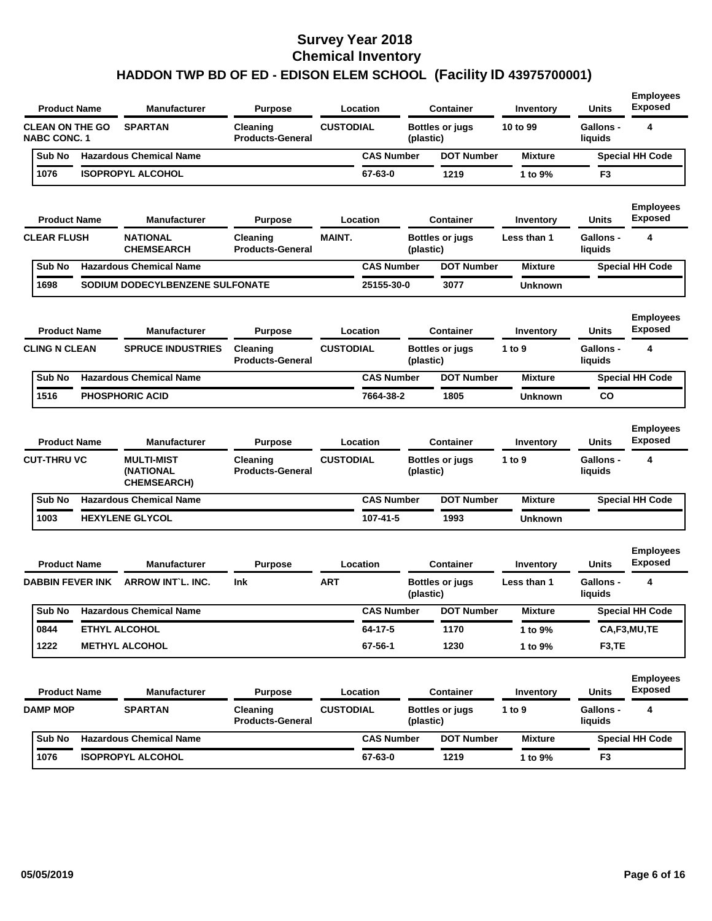| <b>Product Name</b>                           | <b>Manufacturer</b>                           | <b>Purpose</b>                      |                  | Location          |           | <b>Container</b>       | Inventory      | <b>Units</b>                | <b>Employees</b><br><b>Exposed</b> |
|-----------------------------------------------|-----------------------------------------------|-------------------------------------|------------------|-------------------|-----------|------------------------|----------------|-----------------------------|------------------------------------|
| <b>CLEAN ON THE GO</b><br><b>NABC CONC. 1</b> | <b>SPARTAN</b>                                | Cleaning<br><b>Products-General</b> | <b>CUSTODIAL</b> |                   | (plastic) | <b>Bottles or jugs</b> | 10 to 99       | <b>Gallons -</b><br>liquids | 4                                  |
| Sub No                                        | <b>Hazardous Chemical Name</b>                |                                     |                  | <b>CAS Number</b> |           | <b>DOT Number</b>      | <b>Mixture</b> |                             | <b>Special HH Code</b>             |
| 1076                                          | <b>ISOPROPYL ALCOHOL</b>                      |                                     |                  | 67-63-0           |           | 1219                   | 1 to 9%        | F3                          |                                    |
| <b>Product Name</b>                           | <b>Manufacturer</b>                           | <b>Purpose</b>                      |                  | Location          |           | <b>Container</b>       | Inventory      | Units                       | <b>Employees</b><br><b>Exposed</b> |
| <b>CLEAR FLUSH</b>                            | <b>NATIONAL</b><br><b>CHEMSEARCH</b>          | Cleaning<br><b>Products-General</b> | <b>MAINT.</b>    |                   | (plastic) | <b>Bottles or jugs</b> | Less than 1    | <b>Gallons -</b><br>liquids | 4                                  |
| Sub No                                        | <b>Hazardous Chemical Name</b>                |                                     |                  | <b>CAS Number</b> |           | <b>DOT Number</b>      | <b>Mixture</b> |                             | <b>Special HH Code</b>             |
| 1698                                          | SODIUM DODECYLBENZENE SULFONATE               |                                     |                  | 25155-30-0        |           | 3077                   | <b>Unknown</b> |                             |                                    |
| <b>Product Name</b>                           | <b>Manufacturer</b>                           | <b>Purpose</b>                      |                  | Location          |           | <b>Container</b>       | Inventory      | Units                       | <b>Employees</b><br><b>Exposed</b> |
| <b>CLING N CLEAN</b>                          | <b>SPRUCE INDUSTRIES</b>                      | Cleaning<br><b>Products-General</b> | <b>CUSTODIAL</b> |                   | (plastic) | <b>Bottles or jugs</b> | 1 to 9         | <b>Gallons -</b><br>liquids | 4                                  |
| Sub No                                        | <b>Hazardous Chemical Name</b>                |                                     |                  | <b>CAS Number</b> |           | <b>DOT Number</b>      | <b>Mixture</b> |                             | <b>Special HH Code</b>             |
| 1516                                          | <b>PHOSPHORIC ACID</b>                        |                                     |                  | 7664-38-2         |           | 1805                   | <b>Unknown</b> | CO                          |                                    |
| <b>Product Name</b>                           | <b>Manufacturer</b>                           | <b>Purpose</b>                      |                  | Location          |           | <b>Container</b>       | Inventory      | Units                       | <b>Employees</b><br><b>Exposed</b> |
| <b>CUT-THRU VC</b>                            | <b>MULTI-MIST</b><br>(NATIONAL<br>CHEMSEARCH) | Cleaning<br><b>Products-General</b> | <b>CUSTODIAL</b> |                   | (plastic) | <b>Bottles or jugs</b> | 1 to 9         | Gallons -<br>liquids        | 4                                  |
| Sub No                                        | <b>Hazardous Chemical Name</b>                |                                     |                  | <b>CAS Number</b> |           | <b>DOT Number</b>      | <b>Mixture</b> |                             | Special HH Code                    |
| 1003                                          | <b>HEXYLENE GLYCOL</b>                        |                                     |                  | 107-41-5          |           | 1993                   | <b>Unknown</b> |                             |                                    |
| <b>Product Name</b>                           | <b>Manufacturer</b>                           | <b>Purpose</b>                      |                  | Location          |           | <b>Container</b>       | Inventory      | Units                       | <b>Employees</b><br><b>Exposed</b> |
| <b>DABBIN FEVER INK</b>                       | <b>ARROW INT L. INC.</b>                      | <b>Ink</b>                          | <b>ART</b>       |                   | (plastic) | <b>Bottles or jugs</b> | Less than 1    | <b>Gallons -</b><br>liquids | 4                                  |
|                                               | Sub No Hazardous Chemical Name                |                                     |                  | <b>CAS Number</b> |           | <b>DOT Number</b>      | <b>Mixture</b> |                             | <b>Special HH Code</b>             |
| 0844                                          | <b>ETHYL ALCOHOL</b>                          |                                     |                  | 64-17-5           |           | 1170                   | 1 to 9%        |                             | CA,F3,MU,TE                        |
| 1222                                          | <b>METHYL ALCOHOL</b>                         |                                     |                  | 67-56-1           |           | 1230                   | 1 to 9%        | F <sub>3</sub> ,TE          |                                    |
| <b>Product Name</b>                           | Manufacturer                                  | <b>Purpose</b>                      |                  | Location          |           | <b>Container</b>       | Inventory      | <b>Units</b>                | <b>Employees</b><br><b>Exposed</b> |
| DAMP MOP                                      | <b>SPARTAN</b>                                | Cleaning<br><b>Products-General</b> | <b>CUSTODIAL</b> |                   | (plastic) | <b>Bottles or jugs</b> | 1 to $9$       | Gallons -<br>liquids        | 4                                  |
| Sub No                                        | <b>Hazardous Chemical Name</b>                |                                     |                  | <b>CAS Number</b> |           | <b>DOT Number</b>      | <b>Mixture</b> |                             | <b>Special HH Code</b>             |
|                                               |                                               |                                     |                  |                   |           |                        |                |                             |                                    |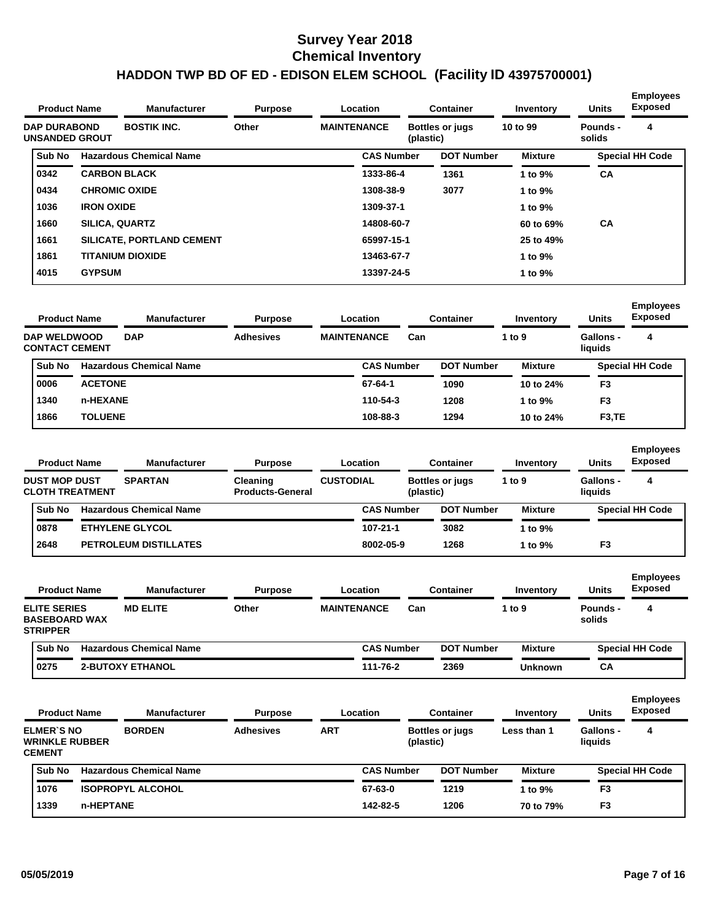|                                              | <b>Product Name</b>   | <b>Manufacturer</b>            | <b>Purpose</b><br>Location |                    |                   | <b>Container</b>       | Inventory      | <b>Units</b>       | <b>Employees</b><br><b>Exposed</b> |  |
|----------------------------------------------|-----------------------|--------------------------------|----------------------------|--------------------|-------------------|------------------------|----------------|--------------------|------------------------------------|--|
| <b>DAP DURABOND</b><br><b>UNSANDED GROUT</b> |                       | <b>BOSTIK INC.</b>             | Other                      | <b>MAINTENANCE</b> | (plastic)         | <b>Bottles or jugs</b> | 10 to 99       | Pounds -<br>solids | 4                                  |  |
| <b>Sub No</b>                                |                       | <b>Hazardous Chemical Name</b> |                            |                    | <b>CAS Number</b> | <b>DOT Number</b>      | <b>Mixture</b> |                    | <b>Special HH Code</b>             |  |
| 0342                                         | <b>CARBON BLACK</b>   |                                |                            |                    | 1333-86-4         | 1361                   | 1 to $9\%$     | <b>CA</b>          |                                    |  |
| 0434                                         | <b>CHROMIC OXIDE</b>  |                                |                            |                    | 1308-38-9         | 3077                   | 1 to 9%        |                    |                                    |  |
| 1036                                         | <b>IRON OXIDE</b>     |                                |                            |                    | 1309-37-1         |                        | 1 to 9%        |                    |                                    |  |
| 1660                                         | <b>SILICA, QUARTZ</b> |                                |                            |                    | 14808-60-7        |                        | 60 to 69%      | <b>CA</b>          |                                    |  |
| 1661                                         |                       | SILICATE, PORTLAND CEMENT      |                            |                    | 65997-15-1        |                        | 25 to 49%      |                    |                                    |  |
| 1861                                         |                       | <b>TITANIUM DIOXIDE</b>        |                            |                    | 13463-67-7        |                        | 1 to 9%        |                    |                                    |  |
| 4015                                         | <b>GYPSUM</b>         |                                |                            |                    | 13397-24-5        |                        | 1 to 9%        |                    |                                    |  |

| <b>Employees</b><br><b>Exposed</b><br><b>Units</b> |
|----------------------------------------------------|
| <b>Gallons -</b><br>4<br>liquids                   |
| <b>Special HH Code</b>                             |
| F3                                                 |
| F <sub>3</sub>                                     |
| F <sub>3</sub> , TE                                |
|                                                    |

| <b>Product Name</b>                            |                | <b>Manufacturer</b>                 | <b>Purpose</b>   |  | Location          |                        | Container         | Inventory                   | <b>Units</b> | <b>Employees</b><br><b>Exposed</b> |
|------------------------------------------------|----------------|-------------------------------------|------------------|--|-------------------|------------------------|-------------------|-----------------------------|--------------|------------------------------------|
| <b>DUST MOP DUST</b><br><b>CLOTH TREATMENT</b> | <b>SPARTAN</b> | Cleaning<br><b>Products-General</b> | <b>CUSTODIAL</b> |  | (plastic)         | <b>Bottles or jugs</b> | 1 to 9            | <b>Gallons -</b><br>liquids | 4            |                                    |
| <b>Sub No</b>                                  |                | <b>Hazardous Chemical Name</b>      |                  |  | <b>CAS Number</b> |                        | <b>DOT Number</b> | Mixture                     |              | <b>Special HH Code</b>             |
| 0878                                           |                | <b>ETHYLENE GLYCOL</b>              |                  |  | 107-21-1          |                        | 3082              | 1 to 9%                     |              |                                    |
| 2648                                           |                | <b>PETROLEUM DISTILLATES</b>        |                  |  | 8002-05-9         |                        | 1268              | 1 to 9%                     | F3           |                                    |

| <b>Product Name</b>                                            |  | <b>Manufacturer</b>            | <b>Purpose</b> |                    | Location          |     | <b>Container</b>  | Inventory      | <b>Units</b>       | <b>Employees</b><br><b>Exposed</b> |
|----------------------------------------------------------------|--|--------------------------------|----------------|--------------------|-------------------|-----|-------------------|----------------|--------------------|------------------------------------|
| <b>ELITE SERIES</b><br><b>BASEBOARD WAX</b><br><b>STRIPPER</b> |  | <b>MD ELITE</b>                | Other          | <b>MAINTENANCE</b> |                   | Can |                   | 1 to 9         | Pounds -<br>solids | 4                                  |
| <b>Sub No</b>                                                  |  | <b>Hazardous Chemical Name</b> |                |                    | <b>CAS Number</b> |     | <b>DOT Number</b> | <b>Mixture</b> |                    | <b>Special HH Code</b>             |
| 0275                                                           |  | <b>2-BUTOXY ETHANOL</b>        |                |                    | 111-76-2          |     | 2369              | Unknown        | CА                 |                                    |

| <b>Product Name</b>                                  |           | <b>Manufacturer</b>            | <b>Purpose</b>   |            | Location          | <b>Container</b>                    |                | <b>Units</b>         | <b>Employees</b><br><b>Exposed</b> |  |
|------------------------------------------------------|-----------|--------------------------------|------------------|------------|-------------------|-------------------------------------|----------------|----------------------|------------------------------------|--|
| ELMER'S NO<br><b>WRINKLE RUBBER</b><br><b>CEMENT</b> |           | <b>BORDEN</b>                  | <b>Adhesives</b> | <b>ART</b> |                   | <b>Bottles or jugs</b><br>(plastic) | Less than 1    | Gallons -<br>liquids | 4                                  |  |
| Sub No                                               |           | <b>Hazardous Chemical Name</b> |                  |            | <b>CAS Number</b> | <b>DOT Number</b>                   | <b>Mixture</b> |                      | <b>Special HH Code</b>             |  |
| 1076                                                 |           | <b>ISOPROPYL ALCOHOL</b>       |                  |            | 67-63-0           | 1219                                | 1 to 9%        | F3                   |                                    |  |
| 1339                                                 | n-HEPTANE |                                |                  |            | 142-82-5          | 1206                                | 70 to 79%      | F <sub>3</sub>       |                                    |  |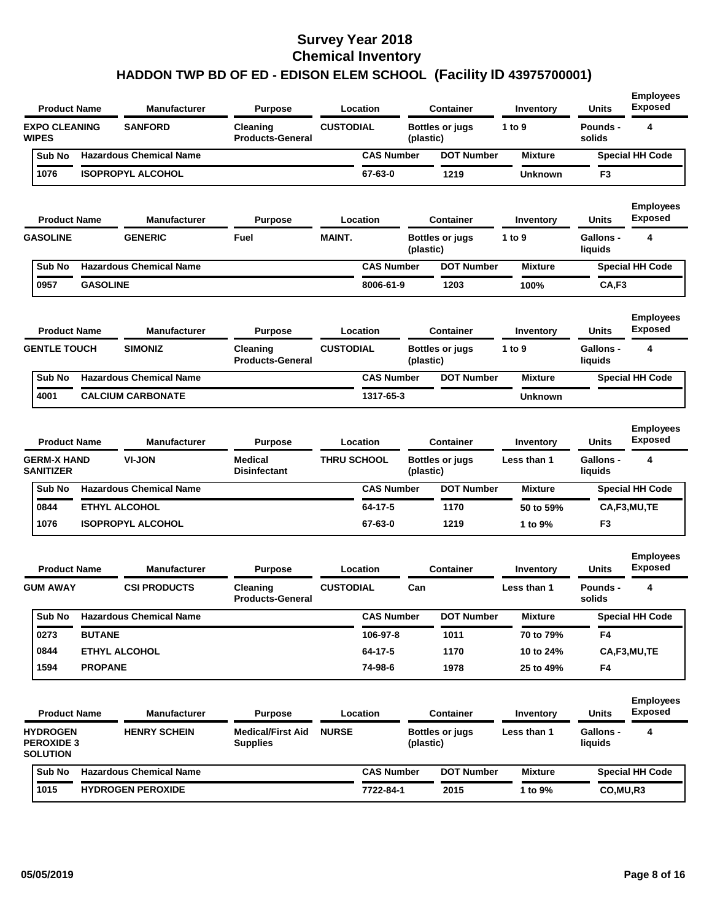| <b>Product Name</b>                                     |                 | <b>Manufacturer</b>            | <b>Purpose</b>                              |                    | Location          |           | <b>Container</b>       | Inventory        | <b>Units</b>                | <b>Employees</b><br><b>Exposed</b> |
|---------------------------------------------------------|-----------------|--------------------------------|---------------------------------------------|--------------------|-------------------|-----------|------------------------|------------------|-----------------------------|------------------------------------|
| <b>EXPO CLEANING</b><br><b>WIPES</b>                    |                 | <b>SANFORD</b>                 | Cleaning<br><b>Products-General</b>         | <b>CUSTODIAL</b>   |                   | (plastic) | <b>Bottles or jugs</b> | 1 to 9           | <b>Pounds -</b><br>solids   | 4                                  |
| Sub No                                                  |                 | <b>Hazardous Chemical Name</b> |                                             |                    | <b>CAS Number</b> |           | <b>DOT Number</b>      | <b>Mixture</b>   |                             | <b>Special HH Code</b>             |
| 1076                                                    |                 | <b>ISOPROPYL ALCOHOL</b>       |                                             |                    | 67-63-0           |           | 1219                   | <b>Unknown</b>   | F <sub>3</sub>              |                                    |
| <b>Product Name</b>                                     |                 | <b>Manufacturer</b>            | <b>Purpose</b>                              |                    | Location          |           | <b>Container</b>       | <b>Inventory</b> | <b>Units</b>                | <b>Employees</b><br><b>Exposed</b> |
| <b>GASOLINE</b>                                         |                 | <b>GENERIC</b>                 | Fuel                                        | MAINT.             |                   | (plastic) | <b>Bottles or jugs</b> | 1 to 9           | Gallons -<br>liquids        | 4                                  |
| Sub No                                                  |                 | <b>Hazardous Chemical Name</b> |                                             |                    | <b>CAS Number</b> |           | <b>DOT Number</b>      | <b>Mixture</b>   |                             | <b>Special HH Code</b>             |
| 0957                                                    | <b>GASOLINE</b> |                                |                                             |                    | 8006-61-9         |           | 1203                   | 100%             | CA,F3                       |                                    |
| <b>Product Name</b>                                     |                 | <b>Manufacturer</b>            | <b>Purpose</b>                              |                    | Location          |           | <b>Container</b>       | Inventory        | Units                       | <b>Employees</b><br>Exposed        |
| <b>GENTLE TOUCH</b>                                     |                 | <b>SIMONIZ</b>                 | Cleaning<br><b>Products-General</b>         | <b>CUSTODIAL</b>   |                   | (plastic) | <b>Bottles or jugs</b> | 1 to 9           | <b>Gallons -</b><br>liquids | 4                                  |
| Sub No                                                  |                 | <b>Hazardous Chemical Name</b> |                                             |                    | <b>CAS Number</b> |           | <b>DOT Number</b>      | <b>Mixture</b>   |                             | <b>Special HH Code</b>             |
| 4001                                                    |                 | <b>CALCIUM CARBONATE</b>       |                                             |                    | 1317-65-3         |           |                        | <b>Unknown</b>   |                             |                                    |
| <b>Product Name</b>                                     |                 | <b>Manufacturer</b>            | <b>Purpose</b>                              |                    | Location          |           | <b>Container</b>       | Inventory        | <b>Units</b>                | <b>Employees</b><br><b>Exposed</b> |
| <b>GERM-X HAND</b><br><b>SANITIZER</b>                  |                 | <b>VI-JON</b>                  | <b>Medical</b><br><b>Disinfectant</b>       | <b>THRU SCHOOL</b> |                   | (plastic) | <b>Bottles or jugs</b> | Less than 1      | <b>Gallons -</b><br>liquids | 4                                  |
| Sub No                                                  |                 | <b>Hazardous Chemical Name</b> |                                             |                    | <b>CAS Number</b> |           | <b>DOT Number</b>      | <b>Mixture</b>   |                             | <b>Special HH Code</b>             |
| 0844                                                    |                 | <b>ETHYL ALCOHOL</b>           |                                             |                    | 64-17-5           |           | 1170                   | 50 to 59%        |                             | CA,F3,MU,TE                        |
| 1076                                                    |                 | <b>ISOPROPYL ALCOHOL</b>       |                                             |                    | 67-63-0           |           | 1219                   | 1 to 9%          | F <sub>3</sub>              |                                    |
| <b>Product Name</b>                                     |                 | <b>Manufacturer</b>            | <b>Purpose</b>                              |                    | Location          |           | <b>Container</b>       | <b>Inventory</b> | <b>Units</b>                | <b>Employees</b><br>Exposed        |
| <b>GUM AWAY</b>                                         |                 | <b>CSI PRODUCTS</b>            | Cleaning<br><b>Products-General</b>         | <b>CUSTODIAL</b>   |                   | Can       |                        | Less than 1      | Pounds -<br>solids          | 4                                  |
| Sub No                                                  |                 | <b>Hazardous Chemical Name</b> |                                             |                    | <b>CAS Number</b> |           | <b>DOT Number</b>      | <b>Mixture</b>   |                             | <b>Special HH Code</b>             |
| 0273                                                    | <b>BUTANE</b>   |                                |                                             |                    | 106-97-8          |           | 1011                   | 70 to 79%        | F4                          |                                    |
| 0844                                                    |                 | <b>ETHYL ALCOHOL</b>           |                                             |                    | 64-17-5           |           | 1170                   | 10 to 24%        |                             | CA,F3,MU,TE                        |
| 1594                                                    | <b>PROPANE</b>  |                                |                                             |                    | 74-98-6           |           | 1978                   | 25 to 49%        | F4                          |                                    |
| <b>Product Name</b>                                     |                 | <b>Manufacturer</b>            | <b>Purpose</b>                              |                    | Location          |           | <b>Container</b>       | Inventory        | <b>Units</b>                | <b>Employees</b><br><b>Exposed</b> |
| <b>HYDROGEN</b><br><b>PEROXIDE 3</b><br><b>SOLUTION</b> |                 | <b>HENRY SCHEIN</b>            | <b>Medical/First Aid</b><br><b>Supplies</b> | <b>NURSE</b>       |                   | (plastic) | <b>Bottles or jugs</b> | Less than 1      | Gallons -<br>liquids        | 4                                  |
| Sub No                                                  |                 | <b>Hazardous Chemical Name</b> |                                             |                    | <b>CAS Number</b> |           | <b>DOT Number</b>      | <b>Mixture</b>   |                             | <b>Special HH Code</b>             |
| 1015                                                    |                 | <b>HYDROGEN PEROXIDE</b>       |                                             |                    | 7722-84-1         |           | 2015                   | 1 to 9%          | CO, MU, R3                  |                                    |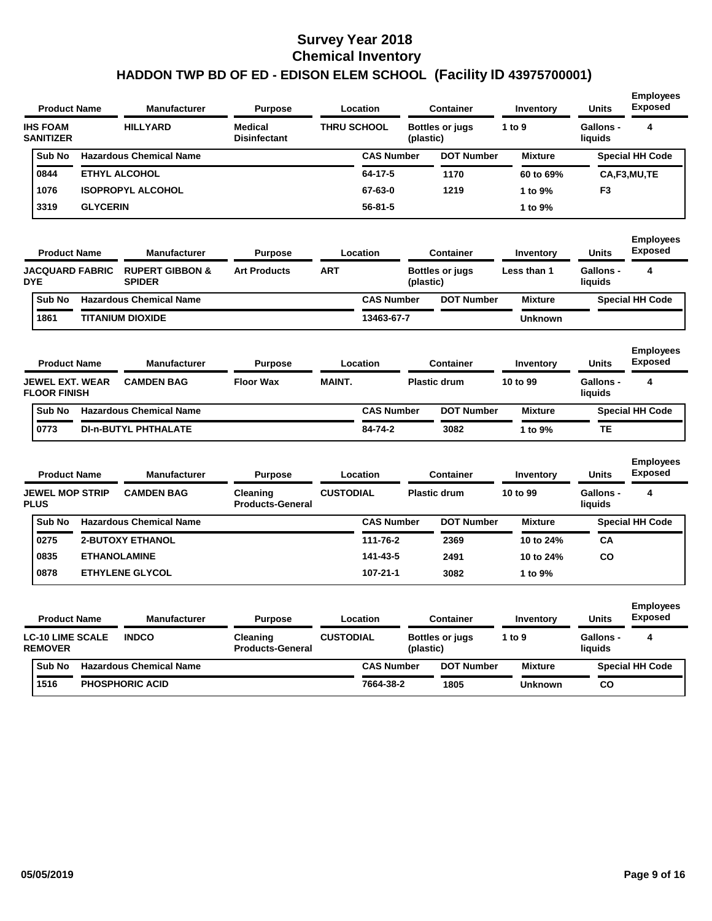| <b>Product Name</b>                           |                     | <b>Manufacturer</b>                         | <b>Purpose</b>                      | Location           |                   |           | <b>Container</b>       | Inventory        | Units                       | <b>Employees</b><br><b>Exposed</b> |
|-----------------------------------------------|---------------------|---------------------------------------------|-------------------------------------|--------------------|-------------------|-----------|------------------------|------------------|-----------------------------|------------------------------------|
| <b>IHS FOAM</b><br><b>SANITIZER</b>           |                     | <b>HILLYARD</b>                             | Medical<br><b>Disinfectant</b>      | <b>THRU SCHOOL</b> |                   | (plastic) | <b>Bottles or jugs</b> | 1 to 9           | <b>Gallons -</b><br>liquids | 4                                  |
| Sub No                                        |                     | <b>Hazardous Chemical Name</b>              |                                     |                    | <b>CAS Number</b> |           | <b>DOT Number</b>      | <b>Mixture</b>   |                             | <b>Special HH Code</b>             |
| 0844                                          |                     | <b>ETHYL ALCOHOL</b>                        |                                     |                    | 64-17-5           |           | 1170                   | 60 to 69%        |                             | CA,F3,MU,TE                        |
| 1076                                          |                     | <b>ISOPROPYL ALCOHOL</b>                    |                                     |                    | 67-63-0           |           | 1219                   | 1 to 9%          | F3                          |                                    |
| 3319                                          | <b>GLYCERIN</b>     |                                             |                                     |                    | 56-81-5           |           |                        | 1 to 9%          |                             |                                    |
| <b>Product Name</b>                           |                     | <b>Manufacturer</b>                         | <b>Purpose</b>                      | Location           |                   |           | <b>Container</b>       | Inventory        | <b>Units</b>                | <b>Employees</b><br><b>Exposed</b> |
| <b>JACQUARD FABRIC</b><br><b>DYE</b>          |                     | <b>RUPERT GIBBON &amp;</b><br><b>SPIDER</b> | <b>Art Products</b>                 | <b>ART</b>         |                   | (plastic) | <b>Bottles or jugs</b> | Less than 1      | <b>Gallons -</b><br>liquids | 4                                  |
| Sub No                                        |                     | <b>Hazardous Chemical Name</b>              |                                     |                    | <b>CAS Number</b> |           | <b>DOT Number</b>      | <b>Mixture</b>   |                             | <b>Special HH Code</b>             |
| 1861                                          |                     | <b>TITANIUM DIOXIDE</b>                     |                                     |                    | 13463-67-7        |           |                        | <b>Unknown</b>   |                             |                                    |
| <b>Product Name</b>                           |                     | Manufacturer                                | <b>Purpose</b>                      | Location           |                   |           | <b>Container</b>       | Inventory        | <b>Units</b>                | <b>Employees</b><br><b>Exposed</b> |
| <b>JEWEL EXT. WEAR</b><br><b>FLOOR FINISH</b> |                     | <b>CAMDEN BAG</b>                           | <b>Floor Wax</b>                    | <b>MAINT.</b>      |                   |           | <b>Plastic drum</b>    | 10 to 99         | <b>Gallons -</b><br>liquids | 4                                  |
| Sub No                                        |                     | <b>Hazardous Chemical Name</b>              |                                     |                    | <b>CAS Number</b> |           | <b>DOT Number</b>      | <b>Mixture</b>   |                             | <b>Special HH Code</b>             |
| 0773                                          |                     | <b>DI-n-BUTYL PHTHALATE</b>                 |                                     |                    | 84-74-2           |           | 3082                   | 1 to 9%          | TE                          |                                    |
| <b>Product Name</b>                           |                     | <b>Manufacturer</b>                         | <b>Purpose</b>                      | Location           |                   |           | <b>Container</b>       | <b>Inventory</b> | <b>Units</b>                | <b>Employees</b><br><b>Exposed</b> |
| <b>JEWEL MOP STRIP</b><br><b>PLUS</b>         |                     | <b>CAMDEN BAG</b>                           | Cleaning<br><b>Products-General</b> | <b>CUSTODIAL</b>   |                   |           | <b>Plastic drum</b>    | 10 to 99         | <b>Gallons -</b><br>liquids | 4                                  |
| Sub No                                        |                     | <b>Hazardous Chemical Name</b>              |                                     |                    | <b>CAS Number</b> |           | <b>DOT Number</b>      | <b>Mixture</b>   |                             | <b>Special HH Code</b>             |
| 0275                                          |                     | <b>2-BUTOXY ETHANOL</b>                     |                                     |                    | 111-76-2          |           | 2369                   | 10 to 24%        | CА                          |                                    |
| 0835                                          | <b>ETHANOLAMINE</b> |                                             |                                     |                    | 141-43-5          |           | 2491                   | 10 to 24%        | CO                          |                                    |
| 0878                                          |                     | <b>ETHYLENE GLYCOL</b>                      |                                     |                    | 107-21-1          |           | 3082                   | 1 to 9%          |                             |                                    |
| <b>Product Name</b>                           |                     | <b>Manufacturer</b>                         | <b>Purpose</b>                      | Location           |                   |           | <b>Container</b>       | <b>Inventory</b> | Units                       | <b>Employees</b><br><b>Exposed</b> |
| <b>LC-10 LIME SCALE</b><br><b>REMOVER</b>     |                     | <b>INDCO</b>                                | Cleaning<br><b>Products-General</b> | <b>CUSTODIAL</b>   |                   | (plastic) | <b>Bottles or jugs</b> | 1 to 9           | <b>Gallons -</b><br>liquids | 4                                  |
|                                               |                     |                                             |                                     |                    |                   |           |                        |                  |                             |                                    |
| Sub No                                        |                     | <b>Hazardous Chemical Name</b>              |                                     |                    | <b>CAS Number</b> |           | <b>DOT Number</b>      | <b>Mixture</b>   |                             | <b>Special HH Code</b>             |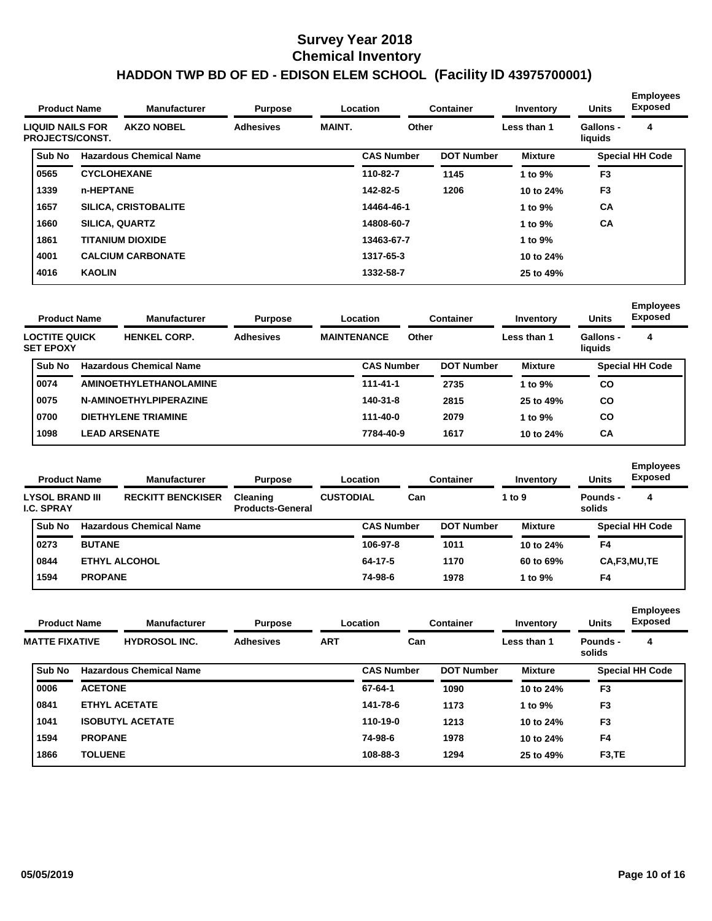|                                                   | <b>Product Name</b> | <b>Manufacturer</b><br><b>Purpose</b><br>Location |                  | Container     | Inventory         | <b>Units</b>      | <b>Employees</b><br><b>Exposed</b> |                      |                        |
|---------------------------------------------------|---------------------|---------------------------------------------------|------------------|---------------|-------------------|-------------------|------------------------------------|----------------------|------------------------|
| <b>LIQUID NAILS FOR</b><br><b>PROJECTS/CONST.</b> |                     | <b>AKZO NOBEL</b>                                 | <b>Adhesives</b> | <b>MAINT.</b> | Other             |                   | Less than 1                        | Gallons -<br>liquids | 4                      |
| Sub No                                            |                     | <b>Hazardous Chemical Name</b>                    |                  |               | <b>CAS Number</b> | <b>DOT Number</b> | <b>Mixture</b>                     |                      | <b>Special HH Code</b> |
| 0565                                              |                     | <b>CYCLOHEXANE</b>                                |                  |               | 110-82-7          | 1145              | 1 to 9%                            | F <sub>3</sub>       |                        |
| 1339                                              | n-HEPTANE           |                                                   |                  |               | 142-82-5          | 1206              | 10 to 24%                          | F <sub>3</sub>       |                        |
| 1657                                              |                     | <b>SILICA, CRISTOBALITE</b>                       |                  |               | 14464-46-1        |                   | 1 to 9%                            | <b>CA</b>            |                        |
| 1660                                              |                     | <b>SILICA, QUARTZ</b>                             |                  |               | 14808-60-7        |                   | 1 to 9%                            | <b>CA</b>            |                        |
| 1861                                              |                     | <b>TITANIUM DIOXIDE</b>                           |                  |               | 13463-67-7        |                   | 1 to 9%                            |                      |                        |
| 4001                                              |                     | <b>CALCIUM CARBONATE</b>                          |                  |               | 1317-65-3         |                   | 10 to 24%                          |                      |                        |
| 4016                                              | <b>KAOLIN</b>       |                                                   |                  |               | 1332-58-7         |                   | 25 to 49%                          |                      |                        |

| <b>Product Name</b>                      |  | <b>Manufacturer</b>            | Location<br><b>Purpose</b>             |  |                   | <b>Container</b> | Inventory         | <b>Units</b>   | <b>Employees</b><br><b>Exposed</b> |                        |
|------------------------------------------|--|--------------------------------|----------------------------------------|--|-------------------|------------------|-------------------|----------------|------------------------------------|------------------------|
| <b>LOCTITE QUICK</b><br><b>SET EPOXY</b> |  | <b>HENKEL CORP.</b>            | <b>Adhesives</b><br><b>MAINTENANCE</b> |  | Other             |                  |                   | Less than 1    | Gallons -<br>liquids               | 4                      |
| Sub No                                   |  | <b>Hazardous Chemical Name</b> |                                        |  | <b>CAS Number</b> |                  | <b>DOT Number</b> | <b>Mixture</b> |                                    | <b>Special HH Code</b> |
| 0074                                     |  | <b>AMINOETHYLETHANOLAMINE</b>  |                                        |  | $111 - 41 - 1$    |                  | 2735              | 1 to 9%        | CO                                 |                        |
| 0075                                     |  | N-AMINOETHYLPIPERAZINE         |                                        |  | 140-31-8          |                  | 2815              | 25 to 49%      | <b>CO</b>                          |                        |
| 0700                                     |  | <b>DIETHYLENE TRIAMINE</b>     |                                        |  | 111-40-0          |                  | 2079              | 1 to $9\%$     | CO                                 |                        |
| 1098                                     |  | <b>LEAD ARSENATE</b>           |                                        |  | 7784-40-9         |                  | 1617              | 10 to 24%      | СA                                 |                        |

| <b>Product Name</b><br><b>Manufacturer</b> |            | <b>Purpose</b>           |                                                                                           | <b>Container</b> |                              | Inventory         | <b>Units</b>   | <b>Employees</b><br><b>Exposed</b> |                        |
|--------------------------------------------|------------|--------------------------|-------------------------------------------------------------------------------------------|------------------|------------------------------|-------------------|----------------|------------------------------------|------------------------|
|                                            |            | <b>RECKITT BENCKISER</b> | Cleaning<br><b>Products-General</b>                                                       |                  | Can                          |                   | 1 to $9$       | Pounds -<br>solids                 | 4                      |
| Sub No                                     |            |                          |                                                                                           |                  |                              |                   | <b>Mixture</b> |                                    | <b>Special HH Code</b> |
| 0273                                       |            |                          |                                                                                           | 106-97-8         |                              | 1011              | 10 to 24%      | F4                                 |                        |
| 0844                                       |            |                          |                                                                                           | 64-17-5          |                              | 1170              | 60 to 69%      |                                    | CA,F3,MU,TE            |
| 1594                                       |            |                          |                                                                                           | 74-98-6          |                              | 1978              | 1 to $9\%$     | F4                                 |                        |
|                                            | I.C. SPRAY | LYSOL BRAND III          | <b>Hazardous Chemical Name</b><br><b>BUTANE</b><br><b>ETHYL ALCOHOL</b><br><b>PROPANE</b> |                  | Location<br><b>CUSTODIAL</b> | <b>CAS Number</b> |                | <b>DOT Number</b>                  |                        |

| <b>Product Name</b> |                       |                | <b>Manufacturer</b>            | <b>Purpose</b>   |            | Location          | <b>Container</b>  | Inventory      | <b>Units</b>        | <b>Employees</b><br>Exposed<br>4<br><b>Special HH Code</b> |
|---------------------|-----------------------|----------------|--------------------------------|------------------|------------|-------------------|-------------------|----------------|---------------------|------------------------------------------------------------|
|                     | <b>MATTE FIXATIVE</b> |                | <b>HYDROSOL INC.</b>           | <b>Adhesives</b> | <b>ART</b> | Can               |                   | Less than 1    | Pounds -<br>solids  |                                                            |
|                     | <b>Sub No</b>         |                | <b>Hazardous Chemical Name</b> |                  |            | <b>CAS Number</b> | <b>DOT Number</b> | <b>Mixture</b> |                     |                                                            |
|                     | 0006                  | <b>ACETONE</b> |                                |                  |            | 67-64-1           | 1090              | 10 to 24%      | F <sub>3</sub>      |                                                            |
|                     | 0841                  |                | <b>ETHYL ACETATE</b>           |                  |            | 141-78-6          | 1173              | 1 to 9%        | F <sub>3</sub>      |                                                            |
|                     | 1041                  |                | <b>ISOBUTYL ACETATE</b>        |                  |            | 110-19-0          | 1213              | 10 to 24%      | F <sub>3</sub>      |                                                            |
|                     | 1594                  | <b>PROPANE</b> |                                |                  |            | 74-98-6           | 1978              | 10 to 24%      | F <sub>4</sub>      |                                                            |
|                     | 1866                  | <b>TOLUENE</b> |                                |                  |            | 108-88-3          | 1294              | 25 to 49%      | F <sub>3</sub> , TE |                                                            |
|                     |                       |                |                                |                  |            |                   |                   |                |                     |                                                            |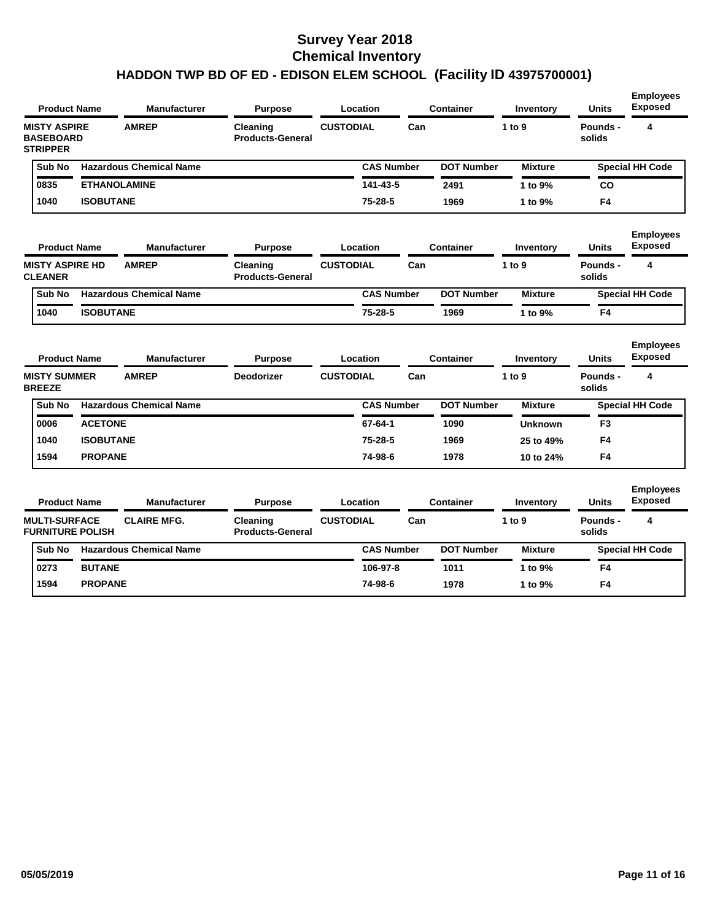| <b>Product Name</b>                                        |                  | <b>Manufacturer</b>                 | Purpose                             |                  | Location          |     | <b>Container</b>  | Inventory           | <b>Units</b>             | <b>Employees</b><br><b>Exposed</b>      |
|------------------------------------------------------------|------------------|-------------------------------------|-------------------------------------|------------------|-------------------|-----|-------------------|---------------------|--------------------------|-----------------------------------------|
| <b>MISTY ASPIRE</b><br><b>BASEBOARD</b><br><b>STRIPPER</b> |                  | <b>AMREP</b>                        | Cleaning<br><b>Products-General</b> | <b>CUSTODIAL</b> |                   | Can |                   | 1 to 9              | Pounds -<br>solids       | 4                                       |
| Sub No                                                     |                  | <b>Hazardous Chemical Name</b>      |                                     |                  | <b>CAS Number</b> |     | <b>DOT Number</b> | <b>Mixture</b>      |                          | <b>Special HH Code</b>                  |
| 0835                                                       |                  | <b>ETHANOLAMINE</b>                 |                                     |                  | 141-43-5          |     | 2491              | 1 to 9%             | CO                       |                                         |
| 1040                                                       | <b>ISOBUTANE</b> |                                     |                                     |                  | 75-28-5           |     | 1969              | 1 to 9%             | F4                       |                                         |
| <b>Product Name</b>                                        |                  | <b>Manufacturer</b>                 | <b>Purpose</b>                      |                  | Location          |     | <b>Container</b>  | Inventory           | <b>Units</b>             | <b>Employees</b><br><b>Exposed</b>      |
| <b>MISTY ASPIRE HD</b><br><b>CLEANER</b>                   |                  | <b>AMREP</b>                        | Cleaning<br><b>Products-General</b> | <b>CUSTODIAL</b> |                   | Can |                   | 1 to 9              | Pounds -<br>solids       | 4                                       |
| Sub No                                                     |                  | <b>Hazardous Chemical Name</b>      |                                     |                  | <b>CAS Number</b> |     | <b>DOT Number</b> | <b>Mixture</b>      |                          | <b>Special HH Code</b>                  |
| 1040                                                       | <b>ISOBUTANE</b> |                                     |                                     |                  | $75 - 28 - 5$     |     | 1969              | 1 to 9%             | F <sub>4</sub>           |                                         |
| <b>Product Name</b><br><b>MISTY SUMMER</b>                 |                  | <b>Manufacturer</b><br><b>AMREP</b> | <b>Purpose</b><br><b>Deodorizer</b> | <b>CUSTODIAL</b> | Location          | Can | <b>Container</b>  | Inventory<br>1 to 9 | <b>Units</b><br>Pounds - | <b>Employees</b><br><b>Exposed</b><br>4 |
| <b>BREEZE</b>                                              |                  |                                     |                                     |                  |                   |     |                   |                     | solids                   |                                         |
| Sub No                                                     |                  | <b>Hazardous Chemical Name</b>      |                                     |                  | <b>CAS Number</b> |     | <b>DOT Number</b> | <b>Mixture</b>      |                          | <b>Special HH Code</b>                  |
| 0006                                                       | <b>ACETONE</b>   |                                     |                                     |                  | $67 - 64 - 1$     |     | 1090              | <b>Unknown</b>      | F <sub>3</sub>           |                                         |
| 1040                                                       | <b>ISOBUTANE</b> |                                     |                                     |                  | 75-28-5           |     | 1969              | 25 to 49%           | F <sub>4</sub>           |                                         |
| 1594                                                       | <b>PROPANE</b>   |                                     |                                     |                  | 74-98-6           |     | 1978              | 10 to 24%           | F4                       |                                         |
| <b>Product Name</b>                                        |                  | <b>Manufacturer</b>                 | <b>Purpose</b>                      |                  | Location          |     | <b>Container</b>  | Inventory           | <b>Units</b>             | <b>Employees</b><br><b>Exposed</b>      |
| <b>MULTI-SURFACE</b><br><b>FURNITURE POLISH</b>            |                  | <b>CLAIRE MFG.</b>                  | Cleaning<br><b>Products-General</b> | <b>CUSTODIAL</b> |                   | Can |                   | 1 to 9              | Pounds -<br>solids       | 4                                       |
| Sub No                                                     |                  | <b>Hazardous Chemical Name</b>      |                                     |                  | <b>CAS Number</b> |     | <b>DOT Number</b> | <b>Mixture</b>      |                          | <b>Special HH Code</b>                  |
| 0273                                                       | <b>BUTANE</b>    |                                     |                                     |                  | 106-97-8          |     | 1011              | 1 to 9%             | F4                       |                                         |
| 1594                                                       | <b>PROPANE</b>   |                                     |                                     |                  | 74-98-6           |     | 1978              | 1 to 9%             | F <sub>4</sub>           |                                         |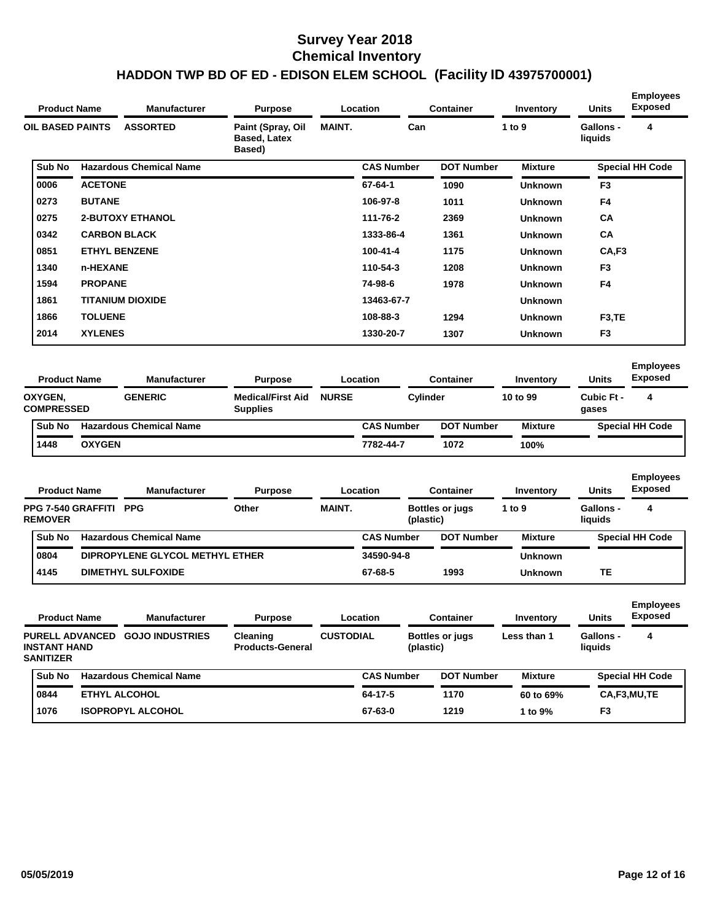| <b>Product Name</b>                             |                         | <b>Manufacturer</b>                              | <b>Purpose</b>                              |                  | Location          | <b>Container</b>                    | Inventory                  | <b>Units</b>                | <b>Employees</b><br><b>Exposed</b> |
|-------------------------------------------------|-------------------------|--------------------------------------------------|---------------------------------------------|------------------|-------------------|-------------------------------------|----------------------------|-----------------------------|------------------------------------|
| <b>OIL BASED PAINTS</b>                         |                         | <b>ASSORTED</b>                                  | Paint (Spray, Oil<br>Based, Latex<br>Based) | <b>MAINT.</b>    | Can               |                                     | 1 to 9                     | <b>Gallons -</b><br>liquids | 4                                  |
| Sub No                                          |                         | <b>Hazardous Chemical Name</b>                   |                                             |                  | <b>CAS Number</b> | <b>DOT Number</b>                   | <b>Mixture</b>             |                             | <b>Special HH Code</b>             |
| 0006                                            | <b>ACETONE</b>          |                                                  |                                             |                  | 67-64-1           | 1090                                | Unknown                    | F <sub>3</sub>              |                                    |
| 0273                                            | <b>BUTANE</b>           |                                                  |                                             |                  | 106-97-8          | 1011                                | Unknown                    | F4                          |                                    |
| 0275                                            |                         | <b>2-BUTOXY ETHANOL</b>                          |                                             |                  | 111-76-2          | 2369                                | <b>Unknown</b>             | CA                          |                                    |
| 0342                                            | <b>CARBON BLACK</b>     |                                                  |                                             |                  | 1333-86-4         | 1361                                | <b>Unknown</b>             | <b>CA</b>                   |                                    |
| 0851                                            | <b>ETHYL BENZENE</b>    |                                                  |                                             |                  | 100-41-4          | 1175                                | <b>Unknown</b>             | CA,F3                       |                                    |
| 1340                                            | n-HEXANE                |                                                  |                                             |                  | 110-54-3          | 1208                                | <b>Unknown</b>             | F3                          |                                    |
| 1594                                            | <b>PROPANE</b>          |                                                  |                                             |                  | 74-98-6           | 1978                                | <b>Unknown</b>             | F4                          |                                    |
| 1861                                            | <b>TITANIUM DIOXIDE</b> |                                                  |                                             |                  | 13463-67-7        |                                     | Unknown                    |                             |                                    |
| 1866                                            | <b>TOLUENE</b>          |                                                  |                                             |                  | 108-88-3          | 1294                                | <b>Unknown</b>             | F3,TE                       |                                    |
| 2014                                            | <b>XYLENES</b>          |                                                  |                                             |                  | 1330-20-7         | 1307                                | <b>Unknown</b>             | F3                          |                                    |
| OXYGEN,<br><b>COMPRESSED</b><br>Sub No          |                         | <b>GENERIC</b><br><b>Hazardous Chemical Name</b> | <b>Medical/First Aid</b><br><b>Supplies</b> | <b>NURSE</b>     | <b>CAS Number</b> | Cylinder<br><b>DOT Number</b>       | 10 to 99<br><b>Mixture</b> | Cubic Ft -<br>gases         | 4<br><b>Special HH Code</b>        |
| 1448                                            | <b>OXYGEN</b>           |                                                  |                                             |                  | 7782-44-7         | 1072                                | 100%                       |                             |                                    |
|                                                 |                         |                                                  |                                             |                  |                   |                                     |                            |                             | <b>Employees</b><br><b>Exposed</b> |
| <b>Product Name</b>                             |                         | <b>Manufacturer</b>                              | <b>Purpose</b>                              |                  | Location          | <b>Container</b>                    | Inventory                  | <b>Units</b>                |                                    |
| <b>PPG 7-540 GRAFFITI</b><br><b>REMOVER</b>     |                         | <b>PPG</b>                                       | Other                                       | <b>MAINT.</b>    |                   | <b>Bottles or jugs</b><br>(plastic) | 1 to 9                     | <b>Gallons -</b><br>liquids | 4                                  |
| Sub No                                          |                         | <b>Hazardous Chemical Name</b>                   |                                             |                  | <b>CAS Number</b> |                                     |                            |                             | <b>Special HH Code</b>             |
|                                                 |                         |                                                  |                                             |                  |                   | <b>DOT Number</b>                   | <b>Mixture</b>             |                             |                                    |
| 0804                                            |                         | DIPROPYLENE GLYCOL METHYL ETHER                  |                                             |                  | 34590-94-8        |                                     | Unknown                    |                             |                                    |
| 4145                                            |                         | <b>DIMETHYL SULFOXIDE</b>                        |                                             |                  | 67-68-5           | 1993                                | Unknown                    | TE                          |                                    |
| <b>Product Name</b>                             |                         | Manufacturer                                     | <b>Purpose</b>                              |                  | Location          | Container                           | <b>Inventory</b>           | <b>Units</b>                | <b>Exposed</b>                     |
|                                                 |                         | PURELL ADVANCED GOJO INDUSTRIES                  | Cleaning<br><b>Products-General</b>         | <b>CUSTODIAL</b> |                   | <b>Bottles or jugs</b><br>(plastic) | Less than 1                | <b>Gallons -</b><br>liquids | <b>Employees</b><br>4              |
| Sub No                                          |                         | <b>Hazardous Chemical Name</b>                   |                                             |                  | <b>CAS Number</b> | <b>DOT Number</b>                   | <b>Mixture</b>             |                             | <b>Special HH Code</b>             |
| <b>INSTANT HAND</b><br><b>SANITIZER</b><br>0844 | ETHYL ALCOHOL           |                                                  |                                             |                  | 64-17-5           | 1170                                | 60 to 69%                  |                             | CA,F3,MU,TE                        |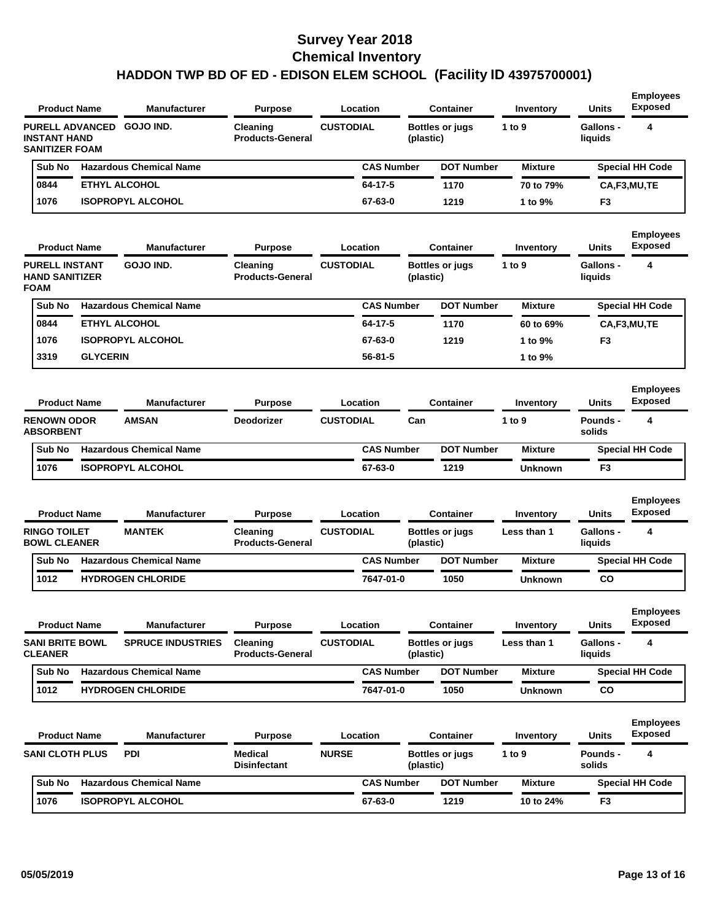| <b>Product Name</b>                                                    |                                | <b>Manufacturer</b>            | <b>Purpose</b>                      | Location          |                   | <b>Container</b>       | Inventory      | <b>Units</b>                | <b>Employees</b><br><b>Exposed</b> |
|------------------------------------------------------------------------|--------------------------------|--------------------------------|-------------------------------------|-------------------|-------------------|------------------------|----------------|-----------------------------|------------------------------------|
| <b>PURELL ADVANCED</b><br><b>INSTANT HAND</b><br><b>SANITIZER FOAM</b> |                                | GOJO IND.                      | Cleaning<br><b>Products-General</b> | <b>CUSTODIAL</b>  | (plastic)         | Bottles or jugs        | 1 to 9         | <b>Gallons -</b><br>liquids | 4                                  |
| Sub No                                                                 |                                | <b>Hazardous Chemical Name</b> |                                     | <b>CAS Number</b> |                   | <b>DOT Number</b>      | <b>Mixture</b> |                             | <b>Special HH Code</b>             |
| 0844                                                                   |                                | <b>ETHYL ALCOHOL</b>           |                                     | 64-17-5           |                   | 1170                   | 70 to 79%      |                             | CA,F3,MU,TE                        |
| 1076                                                                   |                                | <b>ISOPROPYL ALCOHOL</b>       |                                     | 67-63-0           |                   | 1219                   | 1 to 9%        | F <sub>3</sub>              |                                    |
| <b>Product Name</b>                                                    |                                | <b>Manufacturer</b>            | <b>Purpose</b>                      | Location          |                   | <b>Container</b>       | Inventory      | Units                       | <b>Employees</b><br><b>Exposed</b> |
| <b>PURELL INSTANT</b><br><b>HAND SANITIZER</b><br><b>FOAM</b>          |                                | GOJO IND.                      | Cleaning<br><b>Products-General</b> | <b>CUSTODIAL</b>  | (plastic)         | Bottles or jugs        | 1 to 9         | Gallons -<br>liquids        | 4                                  |
| Sub No                                                                 |                                | <b>Hazardous Chemical Name</b> |                                     |                   | <b>CAS Number</b> | <b>DOT Number</b>      | <b>Mixture</b> |                             | <b>Special HH Code</b>             |
| 0844                                                                   |                                | <b>ETHYL ALCOHOL</b>           |                                     | 64-17-5           |                   | 1170                   | 60 to 69%      |                             | CA,F3,MU,TE                        |
| 1076                                                                   |                                | <b>ISOPROPYL ALCOHOL</b>       |                                     | 67-63-0           |                   | 1219                   | 1 to 9%        | F <sub>3</sub>              |                                    |
| 3319                                                                   | <b>GLYCERIN</b>                |                                |                                     | 56-81-5           |                   |                        | 1 to 9%        |                             |                                    |
| <b>Product Name</b>                                                    |                                | <b>Manufacturer</b>            | <b>Purpose</b>                      | Location          |                   | <b>Container</b>       | Inventory      | Units                       | <b>Employees</b><br><b>Exposed</b> |
| <b>RENOWN ODOR</b><br><b>ABSORBENT</b>                                 |                                | <b>AMSAN</b>                   | <b>Deodorizer</b>                   | <b>CUSTODIAL</b>  | Can               |                        | 1 to 9         | Pounds -<br>solids          | 4                                  |
| Sub No                                                                 | <b>Hazardous Chemical Name</b> |                                |                                     |                   | <b>CAS Number</b> | <b>DOT Number</b>      | <b>Mixture</b> |                             | <b>Special HH Code</b>             |
| 1076                                                                   |                                | <b>ISOPROPYL ALCOHOL</b>       |                                     | 67-63-0           |                   | 1219                   | <b>Unknown</b> | F <sub>3</sub>              |                                    |
| <b>Product Name</b>                                                    |                                | <b>Manufacturer</b>            | <b>Purpose</b>                      | Location          |                   | <b>Container</b>       | Inventory      | Units                       | <b>Employees</b><br><b>Exposed</b> |
| <b>RINGO TOILET</b><br><b>BOWL CLEANER</b>                             |                                | <b>MANTEK</b>                  | Cleaning<br><b>Products-General</b> | <b>CUSTODIAL</b>  | (plastic)         | Bottles or jugs        | Less than 1    | <b>Gallons -</b><br>liquids | 4                                  |
| Sub No                                                                 |                                | <b>Hazardous Chemical Name</b> |                                     |                   | <b>CAS Number</b> | <b>DOT Number</b>      | <b>Mixture</b> |                             | <b>Special HH Code</b>             |
| 1012                                                                   |                                | <b>HYDROGEN CHLORIDE</b>       |                                     | 7647-01-0         |                   | 1050                   | <b>Unknown</b> | CO                          |                                    |
| <b>Product Name</b>                                                    |                                | <b>Manufacturer</b>            | <b>Purpose</b>                      | Location          |                   | <b>Container</b>       | Inventory      | Units                       | <b>Employees</b><br><b>Exposed</b> |
| <b>SANI BRITE BOWL</b><br><b>CLEANER</b>                               |                                | <b>SPRUCE INDUSTRIES</b>       | Cleaning<br><b>Products-General</b> | <b>CUSTODIAL</b>  | (plastic)         | <b>Bottles or jugs</b> | Less than 1    | Gallons -<br>liquids        | 4                                  |
| Sub No                                                                 |                                | <b>Hazardous Chemical Name</b> |                                     |                   | <b>CAS Number</b> | <b>DOT Number</b>      | <b>Mixture</b> |                             | <b>Special HH Code</b>             |
| 1012                                                                   |                                | <b>HYDROGEN CHLORIDE</b>       |                                     | 7647-01-0         |                   | 1050                   | <b>Unknown</b> | CO                          |                                    |
| <b>Product Name</b>                                                    |                                | <b>Manufacturer</b>            | <b>Purpose</b>                      | Location          |                   | <b>Container</b>       | Inventory      | <b>Units</b>                | <b>Employees</b><br><b>Exposed</b> |
| <b>SANI CLOTH PLUS</b>                                                 |                                | PDI                            | Medical<br><b>Disinfectant</b>      | <b>NURSE</b>      | (plastic)         | Bottles or jugs        | 1 to 9         | Pounds -<br>solids          | 4                                  |
| Sub No                                                                 |                                | <b>Hazardous Chemical Name</b> |                                     |                   | <b>CAS Number</b> | <b>DOT Number</b>      | <b>Mixture</b> |                             | <b>Special HH Code</b>             |
| 1076                                                                   |                                | <b>ISOPROPYL ALCOHOL</b>       |                                     | 67-63-0           |                   | 1219                   | 10 to 24%      | F <sub>3</sub>              |                                    |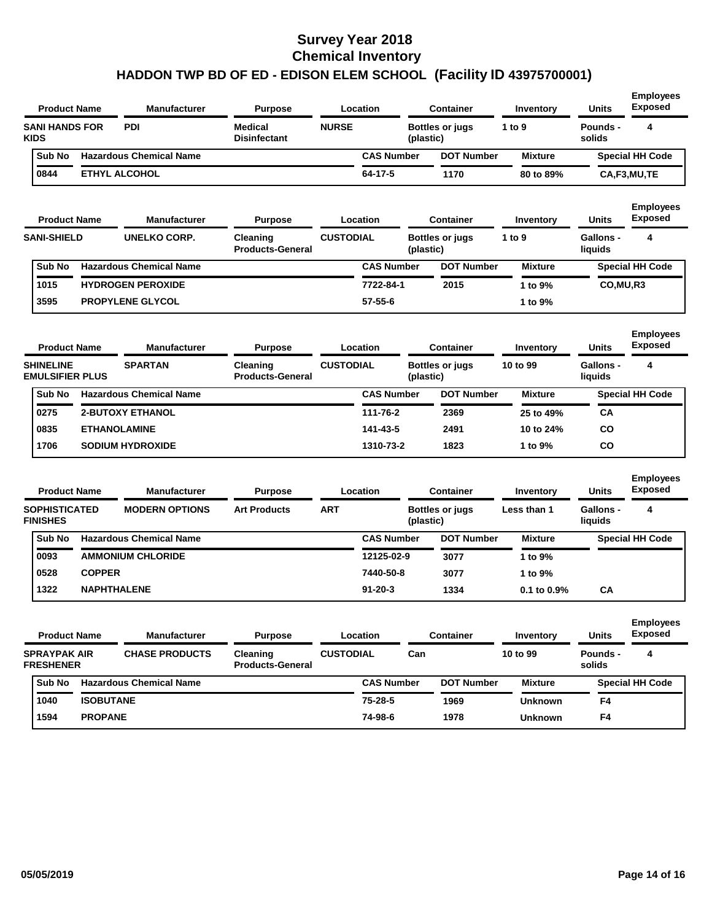| <b>Product Name</b>                        |                  | <b>Manufacturer</b>            | <b>Purpose</b>                        |                  | Location          |           | <b>Container</b>       | Inventory        | Units                       | <b>Employees</b><br><b>Exposed</b> |
|--------------------------------------------|------------------|--------------------------------|---------------------------------------|------------------|-------------------|-----------|------------------------|------------------|-----------------------------|------------------------------------|
| <b>SANI HANDS FOR</b><br><b>KIDS</b>       |                  | <b>PDI</b>                     | <b>Medical</b><br><b>Disinfectant</b> | <b>NURSE</b>     |                   | (plastic) | <b>Bottles or jugs</b> | 1 to 9           | Pounds -<br>solids          | 4                                  |
| Sub No                                     |                  | <b>Hazardous Chemical Name</b> |                                       |                  | <b>CAS Number</b> |           | <b>DOT Number</b>      | <b>Mixture</b>   |                             | <b>Special HH Code</b>             |
| 0844                                       |                  | <b>ETHYL ALCOHOL</b>           |                                       |                  | 64-17-5           |           | 1170                   | 80 to 89%        |                             | CA,F3,MU,TE                        |
| <b>Product Name</b>                        |                  | <b>Manufacturer</b>            | <b>Purpose</b>                        |                  | Location          |           | <b>Container</b>       | Inventory        | Units                       | <b>Employees</b><br><b>Exposed</b> |
| <b>SANI-SHIELD</b>                         |                  | <b>UNELKO CORP.</b>            | Cleaning<br><b>Products-General</b>   | <b>CUSTODIAL</b> |                   | (plastic) | <b>Bottles or jugs</b> | 1 to 9           | Gallons -<br>liquids        | 4                                  |
| Sub No                                     |                  | <b>Hazardous Chemical Name</b> |                                       |                  | <b>CAS Number</b> |           | <b>DOT Number</b>      | <b>Mixture</b>   |                             | <b>Special HH Code</b>             |
| 1015                                       |                  | <b>HYDROGEN PEROXIDE</b>       |                                       |                  | 7722-84-1         |           | 2015                   | 1 to 9%          | CO, MU, R3                  |                                    |
| 3595                                       |                  | <b>PROPYLENE GLYCOL</b>        |                                       |                  | $57 - 55 - 6$     |           |                        | 1 to 9%          |                             |                                    |
| <b>Product Name</b>                        |                  | <b>Manufacturer</b>            | <b>Purpose</b>                        |                  | Location          |           | <b>Container</b>       | Inventory        | Units                       | <b>Employees</b><br><b>Exposed</b> |
| <b>SHINELINE</b><br><b>EMULSIFIER PLUS</b> |                  | <b>SPARTAN</b>                 | Cleaning<br><b>Products-General</b>   | <b>CUSTODIAL</b> |                   | (plastic) | <b>Bottles or jugs</b> | 10 to 99         | <b>Gallons -</b><br>liquids | 4                                  |
| Sub No                                     |                  | <b>Hazardous Chemical Name</b> |                                       |                  | <b>CAS Number</b> |           | <b>DOT Number</b>      | <b>Mixture</b>   |                             | <b>Special HH Code</b>             |
| 0275                                       |                  | <b>2-BUTOXY ETHANOL</b>        |                                       |                  | 111-76-2          |           | 2369                   | 25 to 49%        | CА                          |                                    |
| 0835                                       |                  | <b>ETHANOLAMINE</b>            |                                       |                  | 141-43-5          |           | 2491                   | 10 to 24%        | CO                          |                                    |
| 1706                                       |                  | <b>SODIUM HYDROXIDE</b>        |                                       |                  | 1310-73-2         |           | 1823                   | 1 to 9%          | CO                          |                                    |
| <b>Product Name</b>                        |                  | <b>Manufacturer</b>            | <b>Purpose</b>                        |                  | Location          |           | <b>Container</b>       | Inventory        | Units                       | <b>Employees</b><br><b>Exposed</b> |
| <b>SOPHISTICATED</b><br><b>FINISHES</b>    |                  | <b>MODERN OPTIONS</b>          | <b>Art Products</b>                   | <b>ART</b>       |                   | (plastic) | <b>Bottles or jugs</b> | Less than 1      | <b>Gallons -</b><br>liquids | 4                                  |
| Sub No                                     |                  | <b>Hazardous Chemical Name</b> |                                       |                  | <b>CAS Number</b> |           | <b>DOT Number</b>      | <b>Mixture</b>   |                             | <b>Special HH Code</b>             |
| 0093                                       |                  | <b>AMMONIUM CHLORIDE</b>       |                                       |                  | 12125-02-9        |           | 3077                   | 1 to 9%          |                             |                                    |
| 0528                                       | <b>COPPER</b>    |                                |                                       |                  | 7440-50-8         |           | 3077                   | 1 to 9%          |                             |                                    |
| 1322                                       |                  | <b>NAPHTHALENE</b>             |                                       |                  | $91 - 20 - 3$     |           | 1334                   | $0.1$ to $0.9\%$ | CА                          |                                    |
| <b>Product Name</b>                        |                  | <b>Manufacturer</b>            | <b>Purpose</b>                        |                  | Location          |           | <b>Container</b>       | Inventory        | Units                       | <b>Employees</b><br><b>Exposed</b> |
| <b>SPRAYPAK AIR</b><br><b>FRESHENER</b>    |                  | <b>CHASE PRODUCTS</b>          | Cleaning<br><b>Products-General</b>   | <b>CUSTODIAL</b> |                   | Can       |                        | 10 to 99         | Pounds -<br>solids          | 4                                  |
| Sub No                                     |                  | <b>Hazardous Chemical Name</b> |                                       |                  | <b>CAS Number</b> |           | <b>DOT Number</b>      | <b>Mixture</b>   |                             | <b>Special HH Code</b>             |
| 1040                                       | <b>ISOBUTANE</b> |                                |                                       |                  | 75-28-5           |           | 1969                   | <b>Unknown</b>   | F4                          |                                    |
| 1594                                       | <b>PROPANE</b>   |                                |                                       |                  | 74-98-6           |           | 1978                   | <b>Unknown</b>   | F4                          |                                    |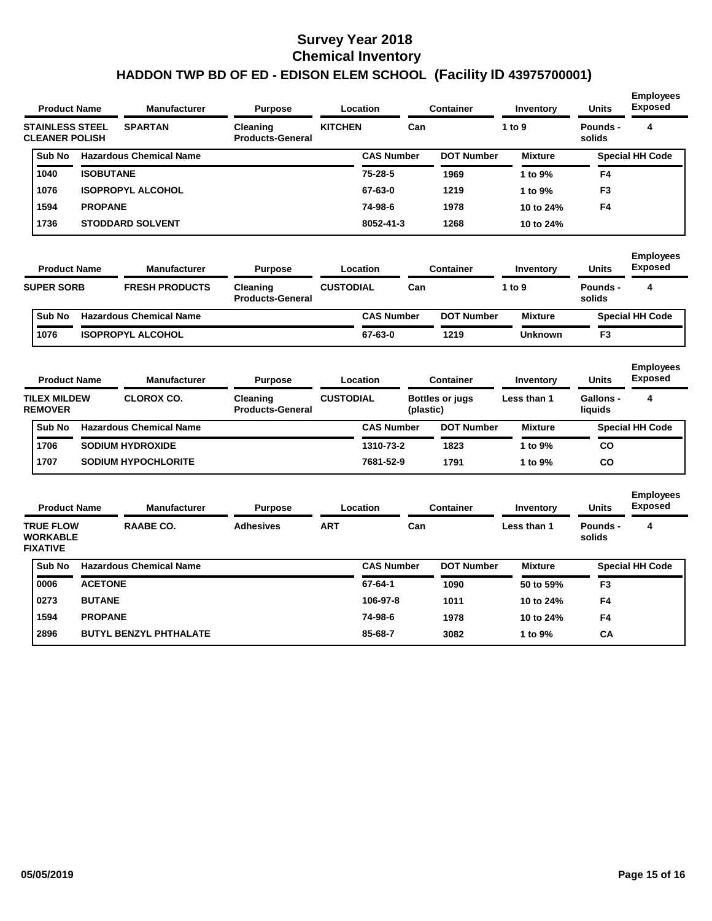| <b>Product Name</b>                             |                  | <b>Manufacturer</b>            | <b>Purpose</b>                      | Location       |                   | <b>Container</b>  | Inventory      | <b>Units</b>       | <b>Employees</b><br><b>Exposed</b> |
|-------------------------------------------------|------------------|--------------------------------|-------------------------------------|----------------|-------------------|-------------------|----------------|--------------------|------------------------------------|
| <b>STAINLESS STEEL</b><br><b>CLEANER POLISH</b> |                  | <b>SPARTAN</b>                 | Cleaning<br><b>Products-General</b> | <b>KITCHEN</b> | Can               |                   | 1 to 9         | Pounds -<br>solids | 4                                  |
| Sub No                                          |                  | <b>Hazardous Chemical Name</b> |                                     |                | <b>CAS Number</b> | <b>DOT Number</b> | <b>Mixture</b> |                    | <b>Special HH Code</b>             |
| 1040                                            | <b>ISOBUTANE</b> |                                |                                     |                | $75 - 28 - 5$     | 1969              | 1 to $9\%$     | F4                 |                                    |
| 1076                                            |                  | <b>ISOPROPYL ALCOHOL</b>       |                                     |                | 67-63-0           | 1219              | 1 to 9%        | F <sub>3</sub>     |                                    |
| 1594                                            | <b>PROPANE</b>   |                                |                                     |                | 74-98-6           | 1978              | 10 to 24%      | F4                 |                                    |
| 1736                                            |                  | <b>STODDARD SOLVENT</b>        |                                     |                | 8052-41-3         | 1268              | 10 to 24%      |                    |                                    |

| <b>Product Name</b><br><b>SUPER SORB</b> |               | <b>Manufacturer</b>            | <b>Purpose</b>                      | Location         |                   |     | Container         | Inventory      | <b>Units</b>       | <b>Employees</b><br><b>Exposed</b> |
|------------------------------------------|---------------|--------------------------------|-------------------------------------|------------------|-------------------|-----|-------------------|----------------|--------------------|------------------------------------|
|                                          |               | <b>FRESH PRODUCTS</b>          | Cleaning<br><b>Products-General</b> | <b>CUSTODIAL</b> |                   | Can |                   | 1 to 9         | Pounds -<br>solids |                                    |
|                                          | <b>Sub No</b> | <b>Hazardous Chemical Name</b> |                                     |                  | <b>CAS Number</b> |     | <b>DOT Number</b> | <b>Mixture</b> |                    | <b>Special HH Code</b>             |
|                                          | 1076          | <b>ISOPROPYL ALCOHOL</b>       |                                     |                  | 67-63-0           |     | 1219              | <b>Unknown</b> | F <sub>3</sub>     |                                    |

| <b>Product Name</b><br><b>Manufacturer</b> |                                       |  |                                | <b>Purpose</b>                      |                  | Location          |           | Container              | Inventory      | <b>Units</b>                | <b>Employees</b><br><b>Exposed</b> |
|--------------------------------------------|---------------------------------------|--|--------------------------------|-------------------------------------|------------------|-------------------|-----------|------------------------|----------------|-----------------------------|------------------------------------|
|                                            | <b>TILEX MILDEW</b><br><b>REMOVER</b> |  | <b>CLOROX CO.</b>              | Cleaning<br><b>Products-General</b> | <b>CUSTODIAL</b> |                   | (plastic) | <b>Bottles or jugs</b> | Less than 1    | <b>Gallons -</b><br>liquids | 4                                  |
|                                            | Sub No                                |  | <b>Hazardous Chemical Name</b> |                                     |                  | <b>CAS Number</b> |           | <b>DOT Number</b>      | <b>Mixture</b> |                             | <b>Special HH Code</b>             |
|                                            | 1706                                  |  | <b>SODIUM HYDROXIDE</b>        |                                     |                  | 1310-73-2         |           | 1823                   | 1 to 9%        | CO                          |                                    |
|                                            | 1707                                  |  | <b>SODIUM HYPOCHLORITE</b>     |                                     |                  | 7681-52-9         |           | 1791                   | 1 to 9%        | CO                          |                                    |

| <b>Product Name</b> |                                                        |                | <b>Manufacturer</b>            | <b>Purpose</b>   |            | Location          | Container         | Inventory      | <b>Units</b>       | <b>Employees</b><br>Exposed<br>4<br><b>Special HH Code</b> |
|---------------------|--------------------------------------------------------|----------------|--------------------------------|------------------|------------|-------------------|-------------------|----------------|--------------------|------------------------------------------------------------|
|                     | <b>TRUE FLOW</b><br><b>WORKABLE</b><br><b>FIXATIVE</b> |                | <b>RAABE CO.</b>               | <b>Adhesives</b> | <b>ART</b> | Can               |                   | Less than 1    | Pounds -<br>solids |                                                            |
|                     | Sub No                                                 |                | <b>Hazardous Chemical Name</b> |                  |            | <b>CAS Number</b> | <b>DOT Number</b> | <b>Mixture</b> |                    |                                                            |
|                     | 0006                                                   | <b>ACETONE</b> |                                |                  |            | 67-64-1           | 1090              | 50 to 59%      | F <sub>3</sub>     |                                                            |
|                     | 0273                                                   | <b>BUTANE</b>  |                                |                  |            | 106-97-8          | 1011              | 10 to 24%      | F4                 |                                                            |
|                     | 1594                                                   | <b>PROPANE</b> |                                |                  |            | 74-98-6           | 1978              | 10 to 24%      | F4                 |                                                            |
|                     | 2896                                                   |                | <b>BUTYL BENZYL PHTHALATE</b>  |                  |            | 85-68-7           | 3082              | 1 to 9%        | CA                 |                                                            |